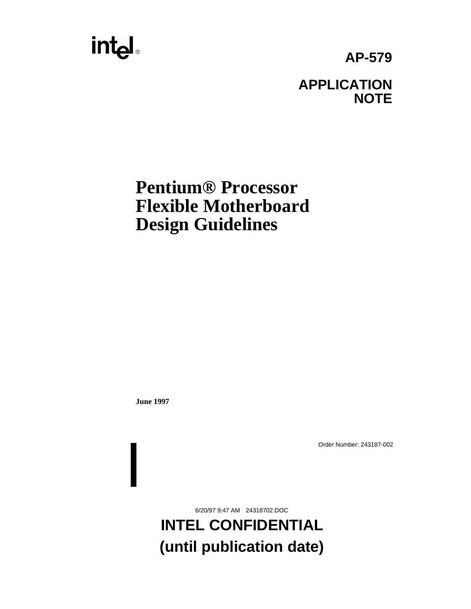

### **AP-579**

### **APPLICATION NOTE**

### **Pentium® Processor Flexible Motherboard Design Guidelines**

**June 1997**

Order Number: 243187-002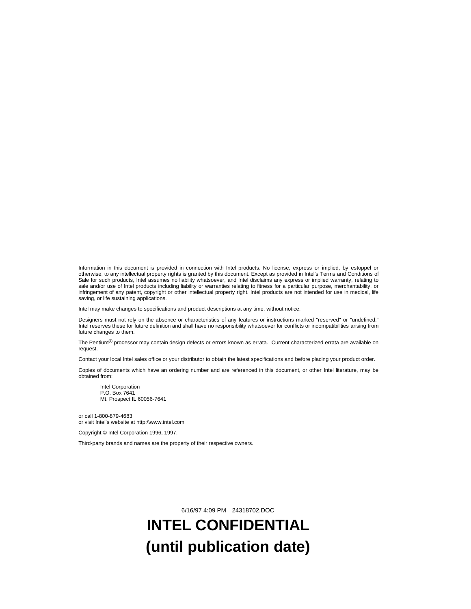Information in this document is provided in connection with Intel products. No license, express or implied, by estoppel or otherwise, to any intellectual property rights is granted by this document. Except as provided in Intel's Terms and Conditions of Sale for such products, Intel assumes no liability whatsoever, and Intel disclaims any express or implied warranty, relating to sale and/or use of Intel products including liability or warranties relating to fitness for a particular purpose, merchantability, or infringement of any patent, copyright or other intellectual property right. Intel products are not intended for use in medical, life saving, or life sustaining applications.

Intel may make changes to specifications and product descriptions at any time, without notice.

Designers must not rely on the absence or characteristics of any features or instructions marked "reserved" or "undefined." Intel reserves these for future definition and shall have no responsibility whatsoever for conflicts or incompatibilities arising from future changes to them.

The Pentium<sup>®</sup> processor may contain design defects or errors known as errata. Current characterized errata are available on request.

Contact your local Intel sales office or your distributor to obtain the latest specifications and before placing your product order.

Copies of documents which have an ordering number and are referenced in this document, or other Intel literature, may be obtained from:

Intel Corporation P.O. Box 7641 Mt. Prospect IL 60056-7641

or call 1-800-879-4683 or visit Intel's website at http:\\www.intel.com

Copyright © Intel Corporation 1996, 1997.

Third-party brands and names are the property of their respective owners.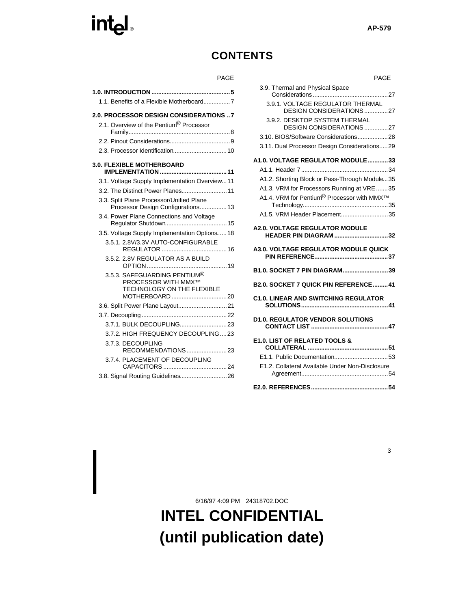### **CONTENTS**

| <b>2.0. PROCESSOR DESIGN CONSIDERATIONS 7</b>                                                   |  |
|-------------------------------------------------------------------------------------------------|--|
| 2.1. Overview of the Pentium <sup>®</sup> Processor                                             |  |
|                                                                                                 |  |
|                                                                                                 |  |
| <b>3.0. FLEXIBLE MOTHERBOARD</b>                                                                |  |
| 3.1. Voltage Supply Implementation Overview11                                                   |  |
| 3.2. The Distinct Power Planes 11                                                               |  |
| 3.3. Split Plane Processor/Unified Plane<br>Processor Design Configurations 13                  |  |
| 3.4. Power Plane Connections and Voltage                                                        |  |
| 3.5. Voltage Supply Implementation Options 18                                                   |  |
| 3.5.1. 2.8V/3.3V AUTO-CONFIGURABLE                                                              |  |
| 3.5.2. 2.8V REGULATOR AS A BUILD                                                                |  |
| 3.5.3. SAFEGUARDING PENTIUM®<br><b>PROCESSOR WITH MMX™</b><br><b>TECHNOLOGY ON THE FLEXIBLE</b> |  |
|                                                                                                 |  |
|                                                                                                 |  |
|                                                                                                 |  |
| 3.7.2. HIGH FREQUENCY DECOUPLING23                                                              |  |
| 3.7.3. DECOUPLING<br>RECOMMENDATIONS23                                                          |  |
| 3.7.4. PLACEMENT OF DECOUPLING                                                                  |  |
| 3.8. Signal Routing Guidelines 26                                                               |  |

| PAGE       | PAGE                                                               |
|------------|--------------------------------------------------------------------|
| . 5        | 3.9. Thermal and Physical Space                                    |
| . 7        | 3.9.1. VOLTAGE REGULATOR THERMAL<br>DESIGN CONSIDERATIONS27        |
| <b>NS7</b> | 3.9.2. DESKTOP SYSTEM THERMAL<br>DESIGN CONSIDERATIONS27           |
| . 8        | 3.10. BIOS/Software Considerations28                               |
| . 9        | 3.11. Dual Processor Design Considerations29                       |
| 10         |                                                                    |
|            | A1.0. VOLTAGE REGULATOR MODULE33                                   |
| 11         |                                                                    |
| w11        | A1.2. Shorting Block or Pass-Through Module35                      |
| 11         | A1.3. VRM for Processors Running at VRE 35                         |
|            | A1.4. VRM for Pentium <sup>®</sup> Processor with MMX <sup>™</sup> |
| 13         |                                                                    |
|            | A1.5. VRM Header Placement35                                       |
| 15         | <b>A2.0. VOLTAGE REGULATOR MODULE</b>                              |
| 18         | <b>HEADER PIN DIAGRAM 32</b>                                       |
| 16         | A3.0. VOLTAGE REGULATOR MODULE QUICK                               |
| 19         | B1.0. SOCKET 7 PIN DIAGRAM39                                       |
| E          | B2.0. SOCKET 7 QUICK PIN REFERENCE41                               |
| 20         | <b>C1.0. LINEAR AND SWITCHING REGULATOR</b>                        |
| 21         |                                                                    |
| 22         | <b>D1.0. REGULATOR VENDOR SOLUTIONS</b>                            |
| 23         |                                                                    |
| 323        | <b>E1.0. LIST OF RELATED TOOLS &amp;</b>                           |
| 23         |                                                                    |
| 24         | E1.2. Collateral Available Under Non-Disclosure                    |
| 26         |                                                                    |
|            |                                                                    |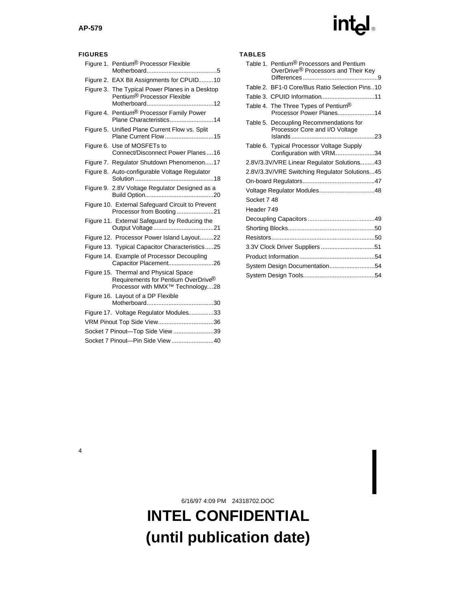### **FIGURES**

| Figure 1. Pentium <sup>®</sup> Processor Flexible                                                                            |
|------------------------------------------------------------------------------------------------------------------------------|
| Figure 2. EAX Bit Assignments for CPUID10                                                                                    |
| Figure 3. The Typical Power Planes in a Desktop<br>Pentium <sup>®</sup> Processor Flexible                                   |
| Pentium <sup>®</sup> Processor Family Power<br>Figure 4.<br>Plane Characteristics14                                          |
| Figure 5. Unified Plane Current Flow vs. Split<br>Plane Current Flow 15                                                      |
| Figure 6. Use of MOSFETs to<br>Connect/Disconnect Power Planes16                                                             |
| Figure 7. Regulator Shutdown Phenomenon17                                                                                    |
| Figure 8. Auto-configurable Voltage Regulator                                                                                |
| Figure 9. 2.8V Voltage Regulator Designed as a                                                                               |
| Figure 10. External Safeguard Circuit to Prevent<br>Processor from Booting21                                                 |
| Figure 11. External Safeguard by Reducing the                                                                                |
| Figure 12. Processor Power Island Layout22                                                                                   |
| Figure 13. Typical Capacitor Characteristics25                                                                               |
| Figure 14. Example of Processor Decoupling<br>Capacitor Placement26                                                          |
| Figure 15. Thermal and Physical Space<br>Requirements for Pentium OverDrive®<br>Processor with MMX <sup>™</sup> Technology28 |
| Figure 16. Layout of a DP Flexible                                                                                           |
| Figure 17. Voltage Regulator Modules33                                                                                       |
| VRM Pinout Top Side View36                                                                                                   |
| Socket 7 Pinout-Top Side View 39                                                                                             |
| Socket 7 Pinout-Pin Side View 40                                                                                             |

### **TABLES**

|                                | Table 1. Pentium <sup>®</sup> Processors and Pentium<br>OverDrive <sup>®</sup> Processors and Their Key |  |  |  |  |  |
|--------------------------------|---------------------------------------------------------------------------------------------------------|--|--|--|--|--|
|                                | Table 2. BF1-0 Core/Bus Ratio Selection Pins10                                                          |  |  |  |  |  |
|                                | Table 3. CPUID Information11                                                                            |  |  |  |  |  |
|                                | Table 4. The Three Types of Pentium <sup>®</sup><br>Processor Power Planes14                            |  |  |  |  |  |
|                                | Table 5. Decoupling Recommendations for<br>Processor Core and I/O Voltage                               |  |  |  |  |  |
|                                | Table 6. Typical Processor Voltage Supply<br>Configuration with VRM34                                   |  |  |  |  |  |
|                                | 2.8V/3.3V/VRE Linear Regulator Solutions43                                                              |  |  |  |  |  |
|                                | 2.8V/3.3V/VRE Switching Regulator Solutions45                                                           |  |  |  |  |  |
|                                |                                                                                                         |  |  |  |  |  |
|                                |                                                                                                         |  |  |  |  |  |
| Socket 748                     |                                                                                                         |  |  |  |  |  |
| Header 749                     |                                                                                                         |  |  |  |  |  |
|                                |                                                                                                         |  |  |  |  |  |
|                                |                                                                                                         |  |  |  |  |  |
|                                |                                                                                                         |  |  |  |  |  |
| 3.3V Clock Driver Suppliers 51 |                                                                                                         |  |  |  |  |  |
|                                |                                                                                                         |  |  |  |  |  |
| System Design Documentation54  |                                                                                                         |  |  |  |  |  |
|                                |                                                                                                         |  |  |  |  |  |
|                                |                                                                                                         |  |  |  |  |  |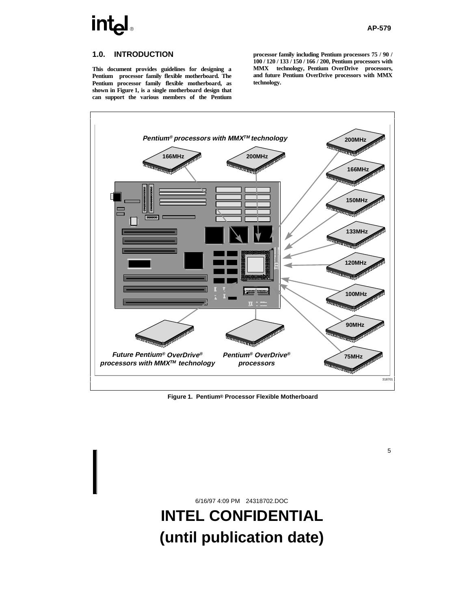### **1.0. INTRODUCTION**

**This document provides guidelines for designing a Pentium processor family flexible motherboard. The Pentium processor family flexible motherboard, as shown in Figure 1, is a single motherboard design that can support the various members of the Pentium** **processor family including Pentium processors 75 / 90 / 100 / 120 / 133 / 150 / 166 / 200, Pentium processors with MMX technology, Pentium OverDrive processors, and future Pentium OverDrive processors with MMX technology.**



**Figure 1. Pentium® Processor Flexible Motherboard**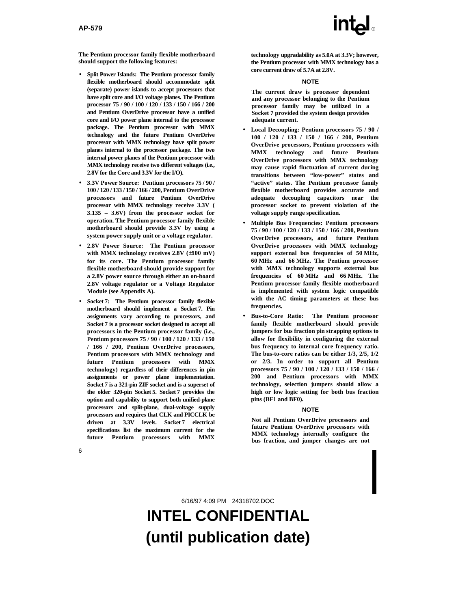**The Pentium processor family flexible motherboard should support the following features:**

- **Split Power Islands: The Pentium processor family flexible motherboard should accommodate split (separate) power islands to accept processors that have split core and I/O voltage planes. The Pentium processor 75 / 90 / 100 / 120 / 133 / 150 / 166 / 200 and Pentium OverDrive processor have a unified core and I/O power plane internal to the processor package. The Pentium processor with MMX technology and the future Pentium OverDrive processor with MMX technology have split power planes internal to the processor package. The two internal power planes of the Pentium processor with MMX technology receive two different voltages (i.e., 2.8V for the Core and 3.3V for the I/O).**
- **3.3V Power Source: Pentium processors 75 / 90 / 100 / 120 / 133 / 150 / 166 / 200, Pentium OverDrive processors and future Pentium OverDrive processor with MMX technology receive 3.3V ( 3.135 – 3.6V) from the processor socket for operation. The Pentium processor family flexible motherboard should provide 3.3V by using a system power supply unit or a voltage regulator.**
- **2.8V Power Source: The Pentium processor with MMX technology receives 2.8V (**±**100 mV) for its core. The Pentium processor family flexible motherboard should provide support for a 2.8V power source through either an on-board 2.8V voltage regulator or a Voltage Regulator Module (see Appendix A).**
- **Socket 7: The Pentium processor family flexible motherboard should implement a Socket 7. Pin assignments vary according to processors, and Socket 7 is a processor socket designed to accept all processors in the Pentium processor family (i.e., Pentium processors 75 / 90 / 100 / 120 / 133 / 150 / 166 / 200, Pentium OverDrive processors, Pentium processors with MMX technology and future Pentium processors with MMX technology) regardless of their differences in pin assignments or power plane implementation. Socket 7 is a 321-pin ZIF socket and is a superset of the older 320-pin Socket 5. Socket 7 provides the option and capability to support both unified-plane processors and split-plane, dual-voltage supply processors and requires that CLK and PICCLK be driven at 3.3V levels. Socket 7 electrical specifications list the maximum current for the future Pentium processors with MMX**

**technology upgradability as 5.0A at 3.3V; however, the Pentium processor with MMX technology has a core current draw of 5.7A at 2.8V.**

### **NOTE**

**The current draw is processor dependent and any processor belonging to the Pentium processor family may be utilized in a Socket 7 provided the system design provides adequate current.**

- **Local Decoupling: Pentium processors 75 / 90 / 100 / 120 / 133 / 150 / 166 / 200, Pentium OverDrive processors, Pentium processors with MMX technology and future Pentium OverDrive processors with MMX technology may cause rapid fluctuation of current during transitions between "low-power" states and "active" states. The Pentium processor family flexible motherboard provides accurate and adequate decoupling capacitors near the processor socket to prevent violation of the voltage supply range specification.**
- **Multiple Bus Frequencies: Pentium processors 75 / 90 / 100 / 120 / 133 / 150 / 166 / 200, Pentium OverDrive processors, and future Pentium OverDrive processors with MMX technology support external bus frequencies of 50 MHz, 60 MHz and 66 MHz. The Pentium processor with MMX technology supports external bus frequencies of 60 MHz and 66 MHz. The Pentium processor family flexible motherboard is implemented with system logic compatible with the AC timing parameters at these bus frequencies.**
- **Bus-to-Core Ratio: The Pentium processor family flexible motherboard should provide jumpers for bus fraction pin strapping options to allow for flexibility in configuring the external bus frequency to internal core frequency ratio. The bus-to-core ratios can be either 1/3, 2/5, 1/2 or 2/3. In order to support all Pentium processors 75 / 90 / 100 / 120 / 133 / 150 / 166 / 200 and Pentium processors with MMX technology, selection jumpers should allow a high or low logic setting for both bus fraction pins (BF1 and BF0).**

### **NOTE**

**Not all Pentium OverDrive processors and future Pentium OverDrive processors with MMX technology internally configure the bus fraction, and jumper changes are not**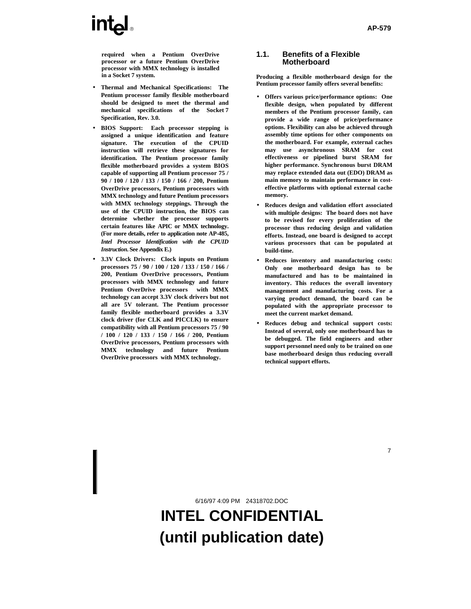**required when a Pentium OverDrive processor or a future Pentium OverDrive processor with MMX technology is installed in a Socket 7 system.**

- **Thermal and Mechanical Specifications: The Pentium processor family flexible motherboard should be designed to meet the thermal and mechanical specifications of the Socket 7 Specification, Rev. 3.0.**
- **BIOS Support: Each processor stepping is assigned a unique identification and feature signature. The execution of the CPUID instruction will retrieve these signatures for identification. The Pentium processor family flexible motherboard provides a system BIOS capable of supporting all Pentium processor 75 / 90 / 100 / 120 / 133 / 150 / 166 / 200, Pentium OverDrive processors, Pentium processors with MMX technology and future Pentium processors with MMX technology steppings. Through the use of the CPUID instruction, the BIOS can determine whether the processor supports certain features like APIC or MMX technology. (For more details, refer to application note AP-485,** *Intel Processor Identification with the CPUID Instruction***. See Appendix E.)**
- **3.3V Clock Drivers: Clock inputs on Pentium processors 75 / 90 / 100 / 120 / 133 / 150 / 166 / 200, Pentium OverDrive processors, Pentium processors with MMX technology and future Pentium OverDrive processors with MMX technology can accept 3.3V clock drivers but not all are 5V tolerant. The Pentium processor family flexible motherboard provides a 3.3V clock driver (for CLK and PICCLK) to ensure compatibility with all Pentium processors 75 / 90 / 100 / 120 / 133 / 150 / 166 / 200, Pentium OverDrive processors, Pentium processors with MMX technology and future Pentium OverDrive processors with MMX technology.**

### **1.1. Benefits of a Flexible Motherboard**

**Producing a flexible motherboard design for the Pentium processor family offers several benefits:**

- **Offers various price/performance options: One flexible design, when populated by different members of the Pentium processor family, can provide a wide range of price/performance options. Flexibility can also be achieved through assembly time options for other components on the motherboard. For example, external caches may use asynchronous SRAM for cost effectiveness or pipelined burst SRAM for higher performance. Synchronous burst DRAM may replace extended data out (EDO) DRAM as main memory to maintain performance in costeffective platforms with optional external cache memory.**
- **Reduces design and validation effort associated with multiple designs: The board does not have to be revised for every proliferation of the processor thus reducing design and validation efforts. Instead, one board is designed to accept various processors that can be populated at build-time.**
- **Reduces inventory and manufacturing costs: Only one motherboard design has to be manufactured and has to be maintained in inventory. This reduces the overall inventory management and manufacturing costs. For a varying product demand, the board can be populated with the appropriate processor to meet the current market demand.**
- **Reduces debug and technical support costs: Instead of several, only one motherboard has to be debugged. The field engineers and other support personnel need only to be trained on one base motherboard design thus reducing overall technical support efforts.**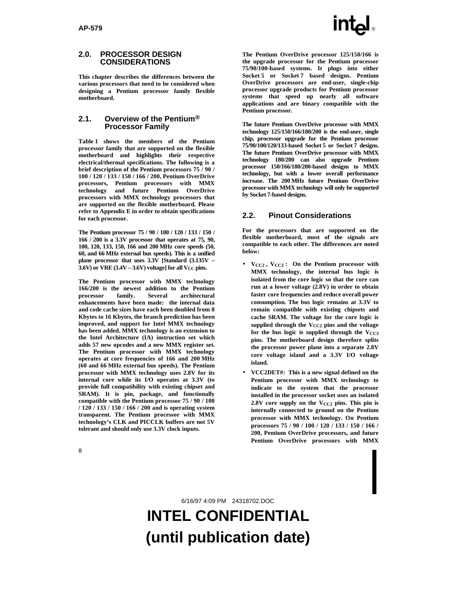### **2.0. PROCESSOR DESIGN CONSIDERATIONS**

**This chapter describes the differences between the various processors that need to be considered when designing a Pentium processor family flexible motherboard.**

### **2.1. Overview of the Pentium® Processor Family**

**Table 1 shows the members of the Pentium processor family that are supported on the flexible motherboard and highlights their respective electrical/thermal specifications. The following is a brief description of the Pentium processors 75 / 90 / 100 / 120 / 133 / 150 / 166 / 200, Pentium OverDrive processors, Pentium processors with MMX technology and future Pentium OverDrive processors with MMX technology processors that are supported on the flexible motherboard. Please refer to Appendix E in order to obtain specifications for each processor.**

**The Pentium processor 75 / 90 / 100 / 120 / 133 / 150 / 166 / 200 is a 3.3V processor that operates at 75, 90, 100, 120, 133, 150, 166 and 200 MHz core speeds (50, 60, and 66 MHz external bus speeds). This is a unified plane processor that uses 3.3V [Standard (3.135V –**  $3.6V$ ) or VRE  $(3.4V - 3.6V)$  voltage] for all V<sub>CC</sub> pins.

**The Pentium processor with MMX technology 166/200 is the newest addition to the Pentium** family. Several architectural **enhancements have been made: the internal data and code cache sizes have each been doubled from 8 Kbytes to 16 Kbytes, the branch prediction has been improved, and support for Intel MMX technology has been added. MMX technology is an extension to the Intel Architecture (IA) instruction set which adds 57 new opcodes and a new MMX register set. The Pentium processor with MMX technology operates at core frequencies of 166 and 200 MHz (60 and 66 MHz external bus speeds). The Pentium processor with MMX technology uses 2.8V for its internal core while its I/O operates at 3.3V (to provide full compatibility with existing chipset and SRAM). It is pin, package, and functionally compatible with the Pentium processor 75 / 90 / 100 / 120 / 133 / 150 / 166 / 200 and is operating system transparent. The Pentium processor with MMX technology's CLK and PICCLK buffers are not 5V tolerant and should only use 3.3V clock inputs.**

**The Pentium OverDrive processor 125/150/166 is the upgrade processor for the Pentium processor 75/90/100-based systems. It plugs into either Socket 5 or Socket 7 based designs. Pentium OverDrive processors are end-user, single-chip processor upgrade products for Pentium processor systems that speed up nearly all software applications and are binary compatible with the Pentium processor.**

**The future Pentium OverDrive processor with MMX technology 125/150/166/180/200 is the end-user, single chip, processor upgrade for the Pentium processor 75/90/100/120/133-based Socket 5 or Socket 7 designs. The future Pentium OverDrive processor with MMX technology 180/200 can also upgrade Pentium processor 150/166/180/200-based designs to MMX technology, but with a lower overall performance increase. The 200 MHz future Pentium OverDrive processor with MMX technology will only be supported by Socket 7-based designs.**

### **2.2. Pinout Considerations**

**For the processors that are supported on the flexible motherboard, most of the signals are compatible to each other. The differences are noted below:**

- $V_{CC2}$ ,  $V_{CC3}$ : On the Pentium processor with **MMX technology, the internal bus logic is isolated from the core logic so that the core can run at a lower voltage (2.8V) in order to obtain faster core frequencies and reduce overall power consumption. The bus logic remains at 3.3V to remain compatible with existing chipsets and cache SRAM. The voltage for the core logic is** supplied through the  $V_{CC2}$  pins and the voltage for the bus logic is supplied through the  $V_{CC3}$ **pins. The motherboard design therefore splits the processor power plane into a separate 2.8V core voltage island and a 3.3V I/O voltage island.**
- **VCC2DET#: This is a new signal defined on the Pentium processor with MMX technology to indicate to the system that the processor installed in the processor socket uses an isolated**  $2.8V$  core supply on the  $V_{CC2}$  pins. This pin is **internally connected to ground on the Pentium processor with MMX technology. On Pentium processors 75 / 90 / 100 / 120 / 133 / 150 / 166 / 200, Pentium OverDrive processors, and future Pentium OverDrive processors with MMX**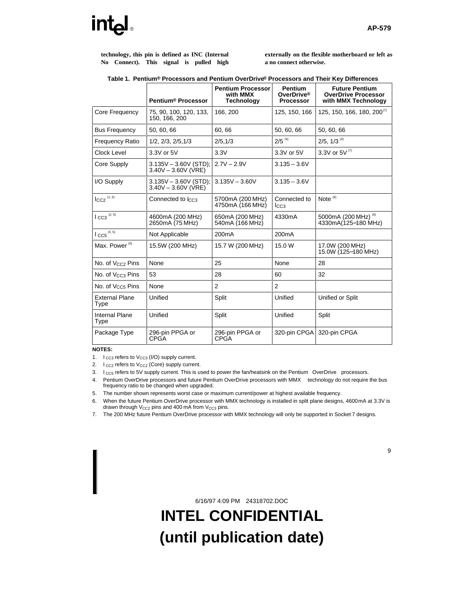|  |  | technology, this pin is defined as INC (Internal |  |  |
|--|--|--------------------------------------------------|--|--|
|  |  | No Connect). This signal is pulled high          |  |  |

**externally on the flexible motherboard or left as a no connect otherwise.**

|                                      | Pentium <sup>®</sup> Processor                   | <b>Pentium Processor</b><br>with MMX™<br><b>Technology</b> | <b>Pentium</b><br>OverDrive®<br><b>Processor</b> | <b>Future Pentium</b><br><b>OverDrive Processor</b><br>with MMX Technology |
|--------------------------------------|--------------------------------------------------|------------------------------------------------------------|--------------------------------------------------|----------------------------------------------------------------------------|
| Core Frequency                       | 75, 90, 100, 120, 133,<br>150, 166, 200          | 166, 200                                                   | 125, 150, 166                                    | 125, 150, 166, 180, 200 $^{(7)}$                                           |
| <b>Bus Frequency</b>                 | 50, 60, 66                                       | 60,66                                                      | 50, 60, 66                                       | 50, 60, 66                                                                 |
| <b>Frequency Ratio</b>               | 1/2, 2/3, 2/5, 1/3                               | 2/5, 1/3                                                   | $2/5$ <sup>(4)</sup>                             | $2/5, 1/3^{(4)}$                                                           |
| Clock Level                          | 3.3V or 5V                                       | 3.3V                                                       | 3.3V or 5V                                       | 3.3V or 5V $^{(7)}$                                                        |
| Core Supply                          | $3.135V - 3.60V$ (STD);<br>$3.40V - 3.60V$ (VRE) | $2.7V - 2.9V$                                              | $3.135 - 3.6V$                                   |                                                                            |
| I/O Supply                           | $3.135V - 3.60V$ (STD);<br>$3.40V - 3.60V$ (VRE) | $3.135V - 3.60V$                                           | $3.135 - 3.6V$                                   |                                                                            |
| $I_{CC2}$ $^{(1, 5)}$                | Connected to Icc <sub>3</sub>                    | 5700mA (200 MHz)<br>4750mA (166 MHz)                       | Connected to<br>$_{\rm lCG3}$                    | Note <sup>(6)</sup>                                                        |
| $I_{CC3}$ <sup>(2, 5)</sup>          | 4600mA (200 MHz)<br>2650mA (75 MHz)              | 650mA (200 MHz)<br>540mA (166 MHz)                         | 4330mA                                           | 5000mA (200 MHz) <sup>(6)</sup><br>4330mA(125-180 MHz)                     |
| $I_{CC5}$ $^{(3, 5)}$                | Not Applicable                                   | 200 <sub>m</sub> A                                         | 200 <sub>m</sub> A                               |                                                                            |
| Max. Power <sup>(5)</sup>            | 15.5W (200 MHz)                                  | 15.7 W (200 MHz)                                           | 15.0 W                                           | 17.0W (200 MHz)<br>15.0W (125-180 MHz)                                     |
| No. of V <sub>CC2</sub> Pins         | None                                             | 25                                                         | None                                             | 28                                                                         |
| No. of V <sub>CC3</sub> Pins         | 53                                               | 28                                                         | 60                                               | 32                                                                         |
| No. of V <sub>CC5</sub> Pins         | None                                             | $\overline{2}$                                             | 2                                                |                                                                            |
| <b>External Plane</b><br><b>Type</b> | Unified                                          | Split                                                      | Unified                                          | Unified or Split                                                           |
| <b>Internal Plane</b><br><b>Type</b> | Unified                                          | Split                                                      | Unified                                          | Split                                                                      |
| Package Type                         | 296-pin PPGA or<br><b>CPGA</b>                   | 296-pin PPGA or<br><b>CPGA</b>                             | 320-pin CPGA                                     | 320-pin CPGA                                                               |

|  | Table 1. Pentium® Processors and Pentium OverDrive® Processors and Their Key Differences |  |  |  |  |
|--|------------------------------------------------------------------------------------------|--|--|--|--|
|--|------------------------------------------------------------------------------------------|--|--|--|--|

### **NOTES:**

1.  $I_{CC3}$  refers to  $V_{CC3}$  (I/O) supply current.

- 2.  $I_{CC2}$  refers to  $V_{CC2}$  (Core) supply current.
- 3. I  $_{CC5}$  refers to 5V supply current. This is used to power the fan/heatsink on the Pentium<sup>®</sup> OverDrive<sup>®</sup> processors.
- 4. Pentium OverDrive processors and future Pentium OverDrive processors with MMX™ technology do not require the bus frequency ratio to be changed when upgraded.
- 5. The number shown represents worst case or maximum current/power at highest available frequency.
- 6. When the future Pentium OverDrive processor with MMX technology is installed in split plane designs, 4600mA at 3.3V is drawn through  $V_{CC2}$  pins and 400 mA from  $V_{CC3}$  pins.
- 7. The 200 MHz future Pentium OverDrive processor with MMX technology will only be supported in Socket 7 designs.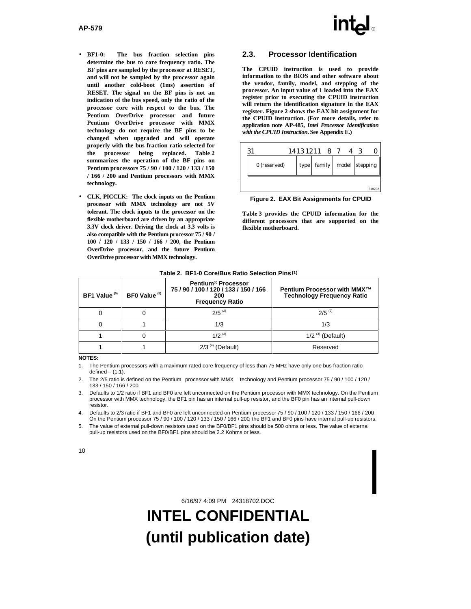- **BF1-0: The bus fraction selection pins determine the bus to core frequency ratio. The BF pins are sampled by the processor at RESET, and will not be sampled by the processor again until another cold-boot (1ms) assertion of RESET. The signal on the BF pins is not an indication of the bus speed, only the ratio of the processor core with respect to the bus. The Pentium OverDrive processor and future Pentium OverDrive processor with MMX technology do not require the BF pins to be changed when upgraded and will operate properly with the bus fraction ratio selected for the processor being replaced. Table 2 summarizes the operation of the BF pins on Pentium processors 75 / 90 / 100 / 120 / 133 / 150 / 166 / 200 and Pentium processors with MMX technology.**
- **CLK, PICCLK: The clock inputs on the Pentium processor with MMX technology are not 5V tolerant. The clock inputs to the processor on the flexible motherboard are driven by an appropriate 3.3V clock driver. Driving the clock at 3.3 volts is also compatible with the Pentium processor 75 / 90 / 100 / 120 / 133 / 150 / 166 / 200, the Pentium OverDrive processor, and the future Pentium OverDrive processor with MMX technology.**

### **2.3. Processor Identification**

**The CPUID instruction is used to provide information to the BIOS and other software about the vendor, family, model, and stepping of the processor. An input value of 1 loaded into the EAX register prior to executing the CPUID instruction will return the identification signature in the EAX register. Figure 2 shows the EAX bit assignment for the CPUID instruction. (For more details, refer to application note AP-485,** *Intel Processor Identification with the CPUID Instruction***. See Appendix E.)**

| 31           | 14 13 12 11 8 7 4 3 |  |  |                           |
|--------------|---------------------|--|--|---------------------------|
| 0 (reserved) | type                |  |  | family   model   stepping |
|              |                     |  |  | 318702                    |

### **Figure 2. EAX Bit Assignments for CPUID**

**Table 3 provides the CPUID information for the different processors that are supported on the flexible motherboard.**

| BF1 Value <sup>(5)</sup> | BF0 Value <sup>(5)</sup> | Pentium <sup>®</sup> Processor<br>75 / 90 / 100 / 120 / 133 / 150 / 166<br>200<br><b>Frequency Ratio</b> | Pentium Processor with MMX™<br><b>Technology Frequency Ratio</b> |
|--------------------------|--------------------------|----------------------------------------------------------------------------------------------------------|------------------------------------------------------------------|
|                          | 0                        | $2/5^{(2)}$                                                                                              | $2/5^{(2)}$                                                      |
|                          |                          | 1/3                                                                                                      | 1/3                                                              |
|                          | 0                        | $1/2^{(3)}$                                                                                              | $1/2^{(3)}$ (Default)                                            |
|                          |                          | $2/3$ <sup>(4)</sup> (Default)                                                                           | Reserved                                                         |

| Table 2. BF1-0 Core/Bus Ratio Selection Pins(1) |  |  |  |
|-------------------------------------------------|--|--|--|
|-------------------------------------------------|--|--|--|

### **NOTES:**

1. The Pentium processors with a maximum rated core frequency of less than 75 MHz have only one bus fraction ratio defined  $-$  (1:1).

2. The 2/5 ratio is defined on the Pentium<sup>®</sup> processor with MMX<sup>™</sup> technology and Pentium processor 75 / 90 / 100 / 120 / 133 / 150 / 166 / 200.

3. Defaults to 1/2 ratio if BF1 and BF0 are left unconnected on the Pentium processor with MMX technology. On the Pentium processor with MMX technology, the BF1 pin has an internal pull-up resistor, and the BF0 pin has an internal pull-down resistor.

4. Defaults to 2/3 ratio if BF1 and BF0 are left unconnected on Pentium processor 75 / 90 / 100 / 120 / 133 / 150 / 166 / 200. On the Pentium processor 75 / 90 / 100 / 120 / 133 / 150 / 166 / 200, the BF1 and BF0 pins have internal pull-up resistors.

5. The value of external pull-down resistors used on the BF0/BF1 pins should be 500 ohms or less. The value of external pull-up resistors used on the BF0/BF1 pins should be 2.2 Kohms or less.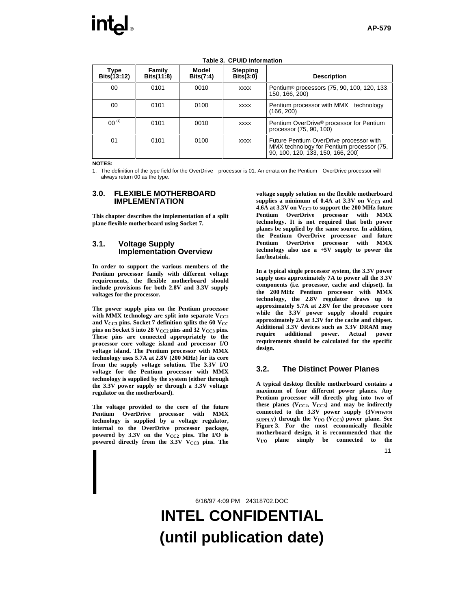| Type<br>Bits(13:12) | Family<br>Bits(11:8) | Model<br>Bits(7:4) | <b>Stepping</b><br>Bits(3:0) | <b>Description</b>                                                                                                    |
|---------------------|----------------------|--------------------|------------------------------|-----------------------------------------------------------------------------------------------------------------------|
| 00                  | 0101                 | 0010               | <b>XXXX</b>                  | Pentium <sup>®</sup> processors (75, 90, 100, 120, 133,<br>150, 166, 200)                                             |
| 00                  | 0101                 | 0100               | <b>XXXX</b>                  | Pentium processor with MMX™ technology<br>(166, 200)                                                                  |
| $00^{(1)}$          | 0101                 | 0010               | <b>XXXX</b>                  | Pentium OverDrive® processor for Pentium<br>processor (75, 90, 100)                                                   |
| 01                  | 0101                 | 0100               | <b>XXXX</b>                  | Future Pentium OverDrive processor with<br>MMX technology for Pentium processor (75, 90, 100, 120, 133, 150, 166, 200 |

**Table 3. CPUID Information**

### **NOTES:**

1. The definition of the type field for the OverDrive® processor is 01. An errata on the Pentium® OverDrive processor will always return 00 as the type.

### **3.0. FLEXIBLE MOTHERBOARD IMPLEMENTATION**

**This chapter describes the implementation of a split plane flexible motherboard using Socket 7.**

### **3.1. Voltage Supply Implementation Overview**

**In order to support the various members of the Pentium processor family with different voltage requirements, the flexible motherboard should include provisions for both 2.8V and 3.3V supply voltages for the processor.**

**The power supply pins on the Pentium processor** with MMX technology are split into separate  $V_{CC2}$ and  $V_{CC3}$  pins. Socket 7 definition splits the 60  $V_{CC}$ pins on Socket 5 into 28 V<sub>CC2</sub> pins and 32 V<sub>CC3</sub> pins. **These pins are connected appropriately to the processor core voltage island and processor I/O voltage island. The Pentium processor with MMX technology uses 5.7A at 2.8V (200 MHz) for its core from the supply voltage solution. The 3.3V I/O voltage for the Pentium processor with MMX technology is supplied by the system (either through the 3.3V power supply or through a 3.3V voltage regulator on the motherboard).**

**The voltage provided to the core of the future Pentium OverDrive processor with MMX technology is supplied by a voltage regulator, internal to the OverDrive processor package,** powered by 3.3V on the V<sub>CC2</sub> pins. The I/O is powered directly from the 3.3V V<sub>CC3</sub> pins. The **voltage supply solution on the flexible motherboard** supplies a minimum of  $0.4A$  at  $3.3V$  on  $V_{CC3}$  and **4.6A at 3.3V on V<sub>CC2</sub> to support the 200 MHz future Pentium OverDrive processor with MMX technology. It is not required that both power planes be supplied by the same source. In addition, the Pentium OverDrive processor and future Pentium OverDrive processor with MMX technology also use a +5V supply to power the fan/heatsink.**

**In a typical single processor system, the 3.3V power supply uses approximately 7A to power all the 3.3V components (i.e. processor, cache and chipset). In the 200 MHz Pentium processor with MMX technology, the 2.8V regulator draws up to approximately 5.7A at 2.8V for the processor core while the 3.3V power supply should require approximately 2A at 3.3V for the cache and chipset. Additional 3.3V devices such as 3.3V DRAM may require additional power. Actual power requirements should be calculated for the specific design.**

### **3.2. The Distinct Power Planes**

**A typical desktop flexible motherboard contains a maximum of four different power planes. Any Pentium processor will directly plug into two of** these planes  $(V_{CC2}, V_{CC3})$  and may be indirectly connected to the 3.3V power supply (3VPOWER  $SUPPLY$ ) through the  $V_{I/O}$  ( $V_{CC3}$ ) power plane. See **Figure 3. For the most economically flexible motherboard design, it is recommended that the VI/O plane simply be connected to the**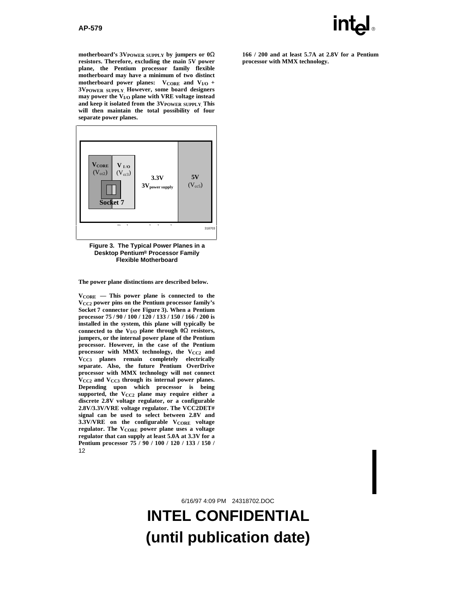motherboard's 3V<sub>POWER</sub> SUPPLY by jumpers or 0Ω **resistors. Therefore, excluding the main 5V power plane, the Pentium processor family flexible motherboard may have a minimum of two distinct** motherboard power planes:  $V_{CORE}$  and  $V_{I/O}$  + **3VPOWER SUPPLY. However, some board designers may power the VI/O plane with VRE voltage instead** and keep it isolated from the 3VPOWER SUPPLY. This **will then maintain the total possibility of four separate power planes.**





**The power plane distinctions are described below.**

**VCORE — This power plane is connected to the V<sub>CC2</sub>** power pins on the Pentium processor family's **Socket 7 connector (see Figure 3). When a Pentium processor 75 / 90 / 100 / 120 / 133 / 150 / 166 / 200 is installed in the system, this plane will typically be connected to the VI/O plane through 0**Ω **resistors, jumpers, or the internal power plane of the Pentium processor. However, in the case of the Pentium** processor with MMX technology, the V<sub>CC2</sub> and V<sub>CC3</sub> planes remain completely electrically **separate. Also, the future Pentium OverDrive processor with MMX technology will not connect** V<sub>CC2</sub> and V<sub>CC3</sub> through its internal power planes. **Depending upon which processor is being** supported, the  $V_{CC2}$  plane may require either a **discrete 2.8V voltage regulator, or a configurable 2.8V/3.3V/VRE voltage regulator. The VCC2DET# signal can be used to select between 2.8V and 3.3V/VRE** on the configurable VCORE voltage regulator. The V<sub>CORE</sub> power plane uses a voltage **regulator that can supply at least 5.0A at 3.3V for a Pentium processor 75 / 90 / 100 / 120 / 133 / 150 /**

**166 / 200 and at least 5.7A at 2.8V for a Pentium processor with MMX technology.**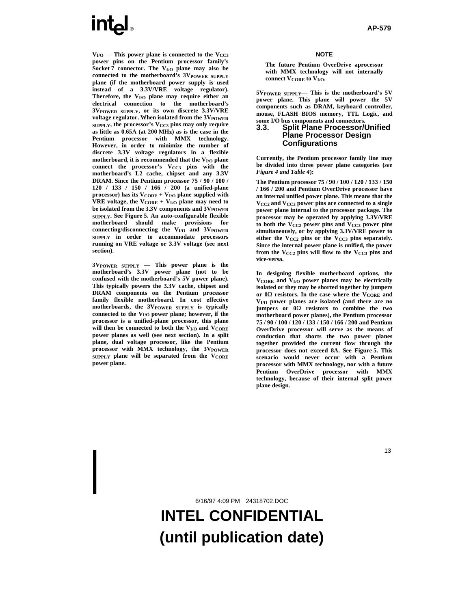$V_{I/O}$  — This power plane is connected to the  $V_{CC3}$ **power pins on the Pentium processor family's** Socket 7 connector. The V<sub>I/O</sub> plane may also be connected to the motherboard's 3VPOWER SUPPLY **plane (if the motherboard power supply is used instead of a 3.3V/VRE voltage regulator). Therefore, the VI/O plane may require either an electrical connection to the motherboard's 3VPOWER SUPPLY, or its own discrete 3.3V/VRE** voltage regulator. When isolated from the 3VPOWER  $SUPPLY$ , the processor's  $V_{CC3}$  pins may only require **as little as 0.65A (at 200 MHz) as is the case in the Pentium processor with MMX technology. However, in order to minimize the number of discrete 3.3V voltage regulators in a flexible motherboard, it is recommended that the VI/O plane** connect the processor's V<sub>CC3</sub> pins with the **motherboard's L2 cache, chipset and any 3.3V DRAM. Since the Pentium processor 75 / 90 / 100 / 120 / 133 / 150 / 166 / 200 (a unified-plane** processor) has its  $V_{CORE} + V_{I/O}$  plane supplied with **VRE voltage, the VCORE + V<sub>I/O</sub> plane may need to** be isolated from the 3.3V components and 3VPOWER **SUPPLY. See Figure 5. An auto-configurable flexible motherboard should make provisions for connecting/disconnecting the VI/O and 3VPOWER SUPPLY in order to accommodate processors running on VRE voltage or 3.3V voltage (see next section).**

**3VPOWER SUPPLY — This power plane is the motherboard's 3.3V power plane (not to be confused with the motherboard's 5V power plane). This typically powers the 3.3V cache, chipset and DRAM components on the Pentium processor family flexible motherboard. In cost effective** motherboards, the 3V<sub>POWER</sub> SUPPLY is typically **connected to the VI/O power plane; however, if the processor is a unified-plane processor, this plane** will then be connected to both the  $V_{I/O}$  and  $V_{CORE}$ **power planes as well (see next section). In a split plane, dual voltage processor, like the Pentium** processor with MMX technology, the 3VPOWER SUPPLY plane will be separated from the VCORE **power plane.**

### **NOTE**

**The future Pentium OverDrive aprocessor with MMX technology will not internally** connect V<sub>CORE</sub> to V<sub>I/O</sub>.

**5VPOWER SUPPLY— This is the motherboard's 5V power plane. This plane will power the 5V components such as DRAM, keyboard controller, mouse, FLASH BIOS memory, TTL Logic, and**

### **some I/O bus components and connectors.**<br>**3.3. Split Plane Processor/I 3.3. Split Plane Processor/Unified Plane Processor Design Configurations**

**Currently, the Pentium processor family line may be divided into three power plane categories (***see Figure 4 and Table 4***):**

**The Pentium processor 75 / 90 / 100 / 120 / 133 / 150 / 166 / 200 and Pentium OverDrive processor have an internal unified power plane. This means that the** V<sub>CC2</sub> and V<sub>CC3</sub> power pins are connected to a single **power plane internal to the processor package. The processor may be operated by applying 3.3V/VRE** to both the V<sub>CC2</sub> power pins and V<sub>CC3</sub> power pins **simultaneously, or by applying 3.3V/VRE power to** either the  $V_{CC2}$  pins or the  $V_{CC3}$  pins separately. **Since the internal power plane is unified, the power** from the  $V_{CC2}$  pins will flow to the  $V_{CC3}$  pins and **vice-versa.**

**In designing flexible motherboard options, the V<sub>CORE</sub>** and **V**<sub>I/O</sub> power planes may be electrically **isolated or they may be shorted together by jumpers or 0Ω** resistors. In the case where the V<sub>CORE</sub> and **VI/O power planes are isolated (and there are no jumpers or 0**Ω **resistors to combine the two motherboard power planes), the Pentium processor 75 / 90 / 100 / 120 / 133 / 150 / 166 / 200 and Pentium OverDrive processor will serve as the means of conduction that shorts the two power planes together provided the current flow through the processor does not exceed 8A. See Figure 5. This scenario would never occur with a Pentium processor with MMX technology, nor with a future Pentium OverDrive processor with MMX technology, because of their internal split power plane design.**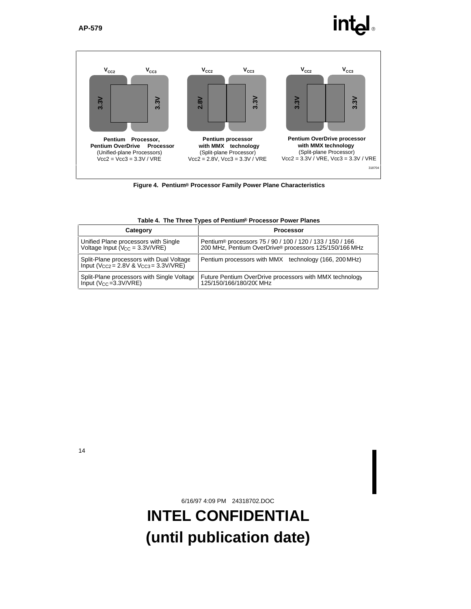

**Figure 4. Pentium® Processor Family Power Plane Characteristics**

| Category                                                                                       | <b>Processor</b>                                                                                                                |
|------------------------------------------------------------------------------------------------|---------------------------------------------------------------------------------------------------------------------------------|
| Unified Plane processors with Single<br>Voltage Input $(V_{CC} = 3.3V/VER)$                    | Pentium <sup>®</sup> processors 75 / 90 / 100 / 120 / 133 / 150 / 166<br>200 MHz, Pentium OverDrive® processors 125/150/166 MHz |
| Split-Plane processors with Dual Voltage<br>Input ( $V_{CC2} = 2.8V$ & $V_{CC3} = 3.3V/ VRE$ ) | Pentium processors with MMX™ technology (166, 200 MHz)                                                                          |
| Split-Plane processors with Single Voltage<br>Input $(V_{CC} = 3.3V/ VRE)$                     | Future Pentium OverDrive processors with MMX technology<br>125/150/166/180/200 MHz                                              |

### **Table 4. The Three Types of Pentium® Processor Power Planes**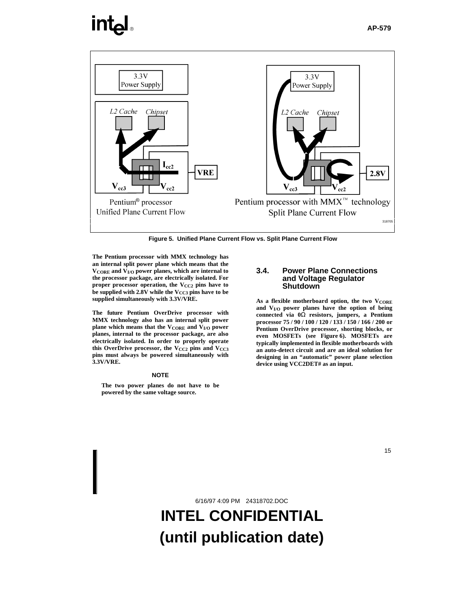

**Figure 5. Unified Plane Current Flow vs. Split Plane Current Flow**

**The Pentium processor with MMX technology has an internal split power plane which means that the VCORE and VI/O power planes, which are internal to the processor package, are electrically isolated. For** proper processor operation, the V<sub>CC2</sub> pins have to be supplied with 2.8V while the V<sub>CC3</sub> pins have to be **supplied simultaneously with 3.3V/VRE.**

**The future Pentium OverDrive processor with MMX technology also has an internal split power** plane which means that the  $V_{\text{CORE}}$  and  $V_{I/O}$  power **planes, internal to the processor package, are also electrically isolated. In order to properly operate** this OverDrive processor, the  $V_{CC2}$  pins and  $V_{CC3}$ **pins must always be powered simultaneously with 3.3V/VRE.**

### **NOTE**

**The two power planes do not have to be powered by the same voltage source.**

### **3.4. Power Plane Connections and Voltage Regulator Shutdown**

As a flexible motherboard option, the two VCORE **and VI/O power planes have the option of being connected via 0**Ω **resistors, jumpers, a Pentium processor 75 / 90 / 100 / 120 / 133 / 150 / 166 / 200 or Pentium OverDrive processor, shorting blocks, or even MOSFETs (see Figure 6). MOSFETs are typically implemented in flexible motherboards with an auto-detect circuit and are an ideal solution for designing in an "automatic" power plane selection device using VCC2DET# as an input.**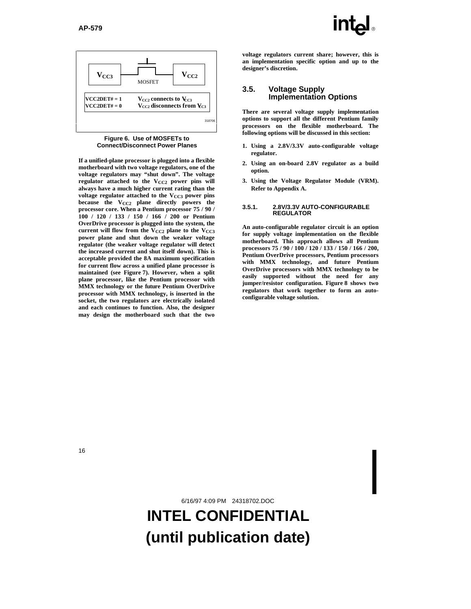



**If a unified-plane processor is plugged into a flexible motherboard with two voltage regulators, one of the voltage regulators may "shut down". The voltage** regulator attached to the  $V_{CC2}$  power pins will **always have a much higher current rating than the** voltage regulator attached to the V<sub>CC3</sub> power pins because the V<sub>CC2</sub> plane directly powers the **processor core. When a Pentium processor 75 / 90 / 100 / 120 / 133 / 150 / 166 / 200 or Pentium OverDrive processor is plugged into the system, the** current will flow from the  $V_{CC2}$  plane to the  $V_{CC3}$ **power plane and shut down the weaker voltage regulator (the weaker voltage regulator will detect the increased current and shut itself down). This is acceptable provided the 8A maximum specification for current flow across a unified plane processor is maintained (see Figure 7). However, when a split plane processor, like the Pentium processor with MMX technology or the future Pentium OverDrive processor with MMX technology, is inserted in the socket, the two regulators are electrically isolated and each continues to function. Also, the designer may design the motherboard such that the two**

**voltage regulators current share; however, this is an implementation specific option and up to the designer's discretion.**

### **3.5. Voltage Supply Implementation Options**

**There are several voltage supply implementation options to support all the different Pentium family processors on the flexible motherboard. The following options will be discussed in this section:**

- **1. Using a 2.8V/3.3V auto-configurable voltage regulator.**
- **2. Using an on-board 2.8V regulator as a build option.**
- **3. Using the Voltage Regulator Module (VRM). Refer to Appendix A.**

### **3.5.1. 2.8V/3.3V AUTO-CONFIGURABLE REGULATOR**

**An auto-configurable regulator circuit is an option for supply voltage implementation on the flexible motherboard. This approach allows all Pentium processors 75 / 90 / 100 / 120 / 133 / 150 / 166 / 200, Pentium OverDrive processors, Pentium processors with MMX technology, and future Pentium OverDrive processors with MMX technology to be easily supported without the need for any jumper/resistor configuration. Figure 8 shows two regulators that work together to form an autoconfigurable voltage solution.**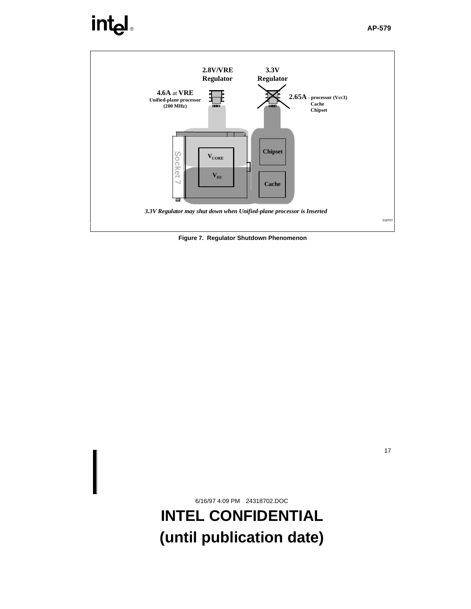

**Figure 7. Regulator Shutdown Phenomenon**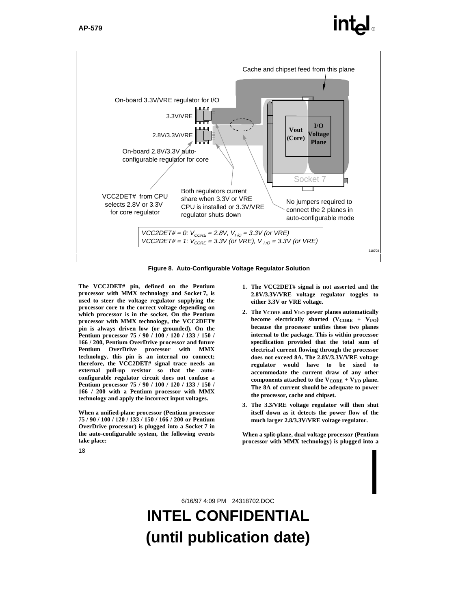

**Figure 8. Auto-Configurable Voltage Regulator Solution**

**The VCC2DET# pin, defined on the Pentium processor with MMX technology and Socket 7, is used to steer the voltage regulator supplying the processor core to the correct voltage depending on which processor is in the socket. On the Pentium processor with MMX technology, the VCC2DET# pin is always driven low (or grounded). On the Pentium processor 75 / 90 / 100 / 120 / 133 / 150 / 166 / 200, Pentium OverDrive processor and future Pentium OverDrive processor with MMX technology, this pin is an internal no connect; therefore, the VCC2DET# signal trace needs an external pull-up resistor so that the autoconfigurable regulator circuit does not confuse a Pentium processor 75 / 90 / 100 / 120 / 133 / 150 / 166 / 200 with a Pentium processor with MMX technology and apply the incorrect input voltages.**

**When a unified-plane processor (Pentium processor 75 / 90 / 100 / 120 / 133 / 150 / 166 / 200 or Pentium OverDrive processor) is plugged into a Socket 7 in the auto-configurable system, the following events take place:**

- **1. The VCC2DET# signal is not asserted and the 2.8V/3.3V/VRE voltage regulator toggles to either 3.3V or VRE voltage.**
- 2. The V<sub>CORE</sub> and V<sub>I/O</sub> power planes automatically **become electrically shorted**  $(V_{CORE} + V_{I/O})$ **because the processor unifies these two planes internal to the package. This is within processor specification provided that the total sum of electrical current flowing through the processor does not exceed 8A. The 2.8V/3.3V/VRE voltage regulator would have to be sized to accommodate the current draw of any other** components attached to the  $V_{CORE} + V_{I/O}$  plane. **The 8A of current should be adequate to power the processor, cache and chipset.**
- **3. The 3.3/VRE voltage regulator will then shut itself down as it detects the power flow of the much larger 2.8/3.3V/VRE voltage regulator.**

**When a split-plane, dual voltage processor (Pentium processor with MMX technology) is plugged into a**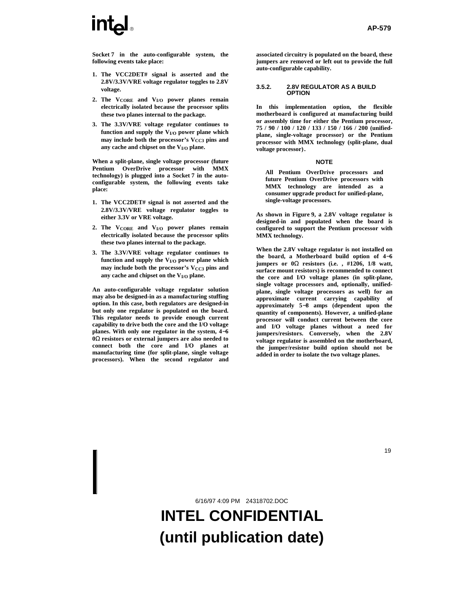**Socket 7 in the auto-configurable system, the following events take place:**

- **1. The VCC2DET# signal is asserted and the 2.8V/3.3V/VRE voltage regulator toggles to 2.8V voltage.**
- 2. The  $V_{CORE}$  and  $V_{I/O}$  power planes remain **electrically isolated because the processor splits these two planes internal to the package.**
- **3. The 3.3V/VRE voltage regulator continues to** function and supply the  $V_{I/O}$  power plane which may include both the processor's V<sub>CC3</sub> pins and **any cache and chipset on the VI/O plane.**

**When a split-plane, single voltage processor (future Pentium OverDrive processor with MMX technology) is plugged into a Socket 7 in the autoconfigurable system, the following events take place:**

- **1. The VCC2DET# signal is not asserted and the 2.8V/3.3V/VRE voltage regulator toggles to either 3.3V or VRE voltage.**
- 2. The  $V_{CORE}$  and  $V_{I/O}$  power planes remain **electrically isolated because the processor splits these two planes internal to the package.**
- **3. The 3.3V/VRE voltage regulator continues to** function and supply the  $V_{I/O}$  power plane which may include both the processor's V<sub>CC3</sub> pins and **any cache and chipset on the VI/O plane.**

**An auto-configurable voltage regulator solution may also be designed-in as a manufacturing stuffing option. In this case, both regulators are designed-in but only one regulator is populated on the board. This regulator needs to provide enough current capability to drive both the core and the I/O voltage planes. With only one regulator in the system, 4**−**6 0**Ω **resistors or external jumpers are also needed to connect both the core and I/O planes at manufacturing time (for split-plane, single voltage processors). When the second regulator and**

**associated circuitry is populated on the board, these jumpers are removed or left out to provide the full auto-configurable capability.**

### **3.5.2. 2.8V REGULATOR AS A BUILD OPTION**

**In this implementation option, the flexible motherboard is configured at manufacturing build or assembly time for either the Pentium processor, 75 / 90 / 100 / 120 / 133 / 150 / 166 / 200 (unifiedplane, single-voltage processor) or the Pentium processor with MMX technology (split-plane, dual voltage processor) .**

### **NOTE**

**All Pentium OverDrive processors and future Pentium OverDrive processors with MMX technology are intended as a consumer upgrade product for unified-plane, single-voltage processors.**

**As shown in Figure 9, a 2.8V voltage regulator is designed-in and populated when the board is configured to support the Pentium processor with MMX technology.**

**When the 2.8V voltage regulator is not installed on the board, a Motherboard build option of 4**−**6 jumpers or 0**Ω **resistors (i.e. , #1206, 1/8 watt, surface mount resistors) is recommended to connect the core and I/O voltage planes (in split-plane, single voltage processors and, optionally, unifiedplane, single voltage processors as well) for an approximate current carrying capability of approximately 5**−**8 amps (dependent upon the quantity of components). However, a unified-plane processor will conduct current between the core and I/O voltage planes without a need for jumpers/resistors. Conversely, when the 2.8V voltage regulator is assembled on the motherboard, the jumper/resistor build option should not be added in order to isolate the two voltage planes.**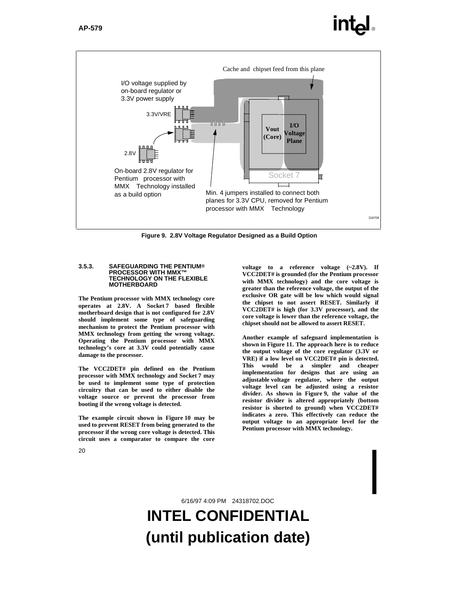

**Figure 9. 2.8V Voltage Regulator Designed as a Build Option**

### **3.5.3. SAFEGUARDING THE PENTIUM® PROCESSOR WITH MMX™ TECHNOLOGY ON THE FLEXIBLE MOTHERBOARD**

**The Pentium processor with MMX technology core operates at 2.8V. A Socket 7 based flexible motherboard design that is not configured for 2.8V should implement some type of safeguarding mechanism to protect the Pentium processor with MMX technology from getting the wrong voltage. Operating the Pentium processor with MMX technology's core at 3.3V could potentially cause damage to the processor.**

**The VCC2DET# pin defined on the Pentium processor with MMX technology and Socket 7 may be used to implement some type of protection circuitry that can be used to either disable the voltage source or prevent the processor from booting if the wrong voltage is detected.**

**The example circuit shown in Figure 10 may be used to prevent RESET from being generated to the processor if the wrong core voltage is detected. This circuit uses a comparator to compare the core** **voltage to a reference voltage (~2.8V). If VCC2DET# is grounded (for the Pentium processor with MMX technology) and the core voltage is greater than the reference voltage, the output of the exclusive OR gate will be low which would signal the chipset to not assert RESET. Similarly if VCC2DET# is high (for 3.3V processor), and the core voltage is lower than the reference voltage, the chipset should not be allowed to assert RESET.**

**Another example of safeguard implementation is shown in Figure 11. The approach here is to reduce the output voltage of the core regulator (3.3V or VRE) if a low level on VCC2DET# pin is detected. This would be a simpler and cheaper implementation for designs that are using an adjustable voltage regulator, where the output voltage level can be adjusted using a resistor divider. As shown in Figure 9, the value of the resistor divider is altered appropriately (bottom resistor is shorted to ground) when VCC2DET# indicates a zero. This effectively can reduce the output voltage to an appropriate level for the Pentium processor with MMX technology.**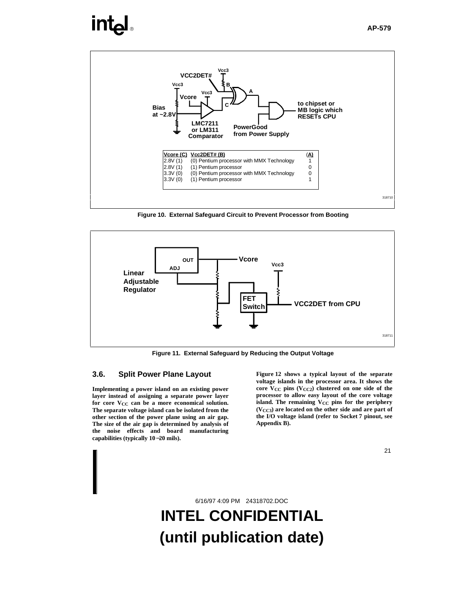

**Figure 10. External Safeguard Circuit to Prevent Processor from Booting**



**Figure 11. External Safeguard by Reducing the Output Voltage**

### **3.6. Split Power Plane Layout**

**Implementing a power island on an existing power layer instead of assigning a separate power layer** for core V<sub>CC</sub> can be a more economical solution. **The separate voltage island can be isolated from the other section of the power plane using an air gap. The size of the air gap is determined by analysis of the noise effects and board manufacturing capabilities (typically 10**−**20 mils).**

**Figure 12 shows a typical layout of the separate voltage islands in the processor area. It shows the** core  $V_{CC}$  pins  $(V_{CC2})$  clustered on one side of the **processor to allow easy layout of the core voltage** island. The remaining  $V_{CC}$  pins for the periphery **(VCC3) are located on the other side and are part of the I/O voltage island (refer to Socket 7 pinout, see Appendix B).**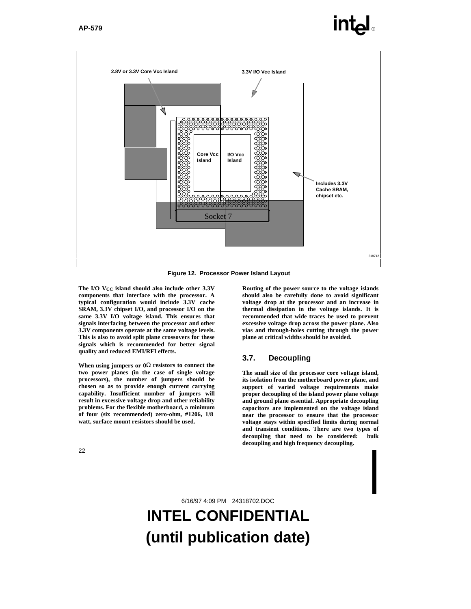

**Figure 12. Processor Power Island Layout**

The I/O V<sub>CC</sub> island should also include other 3.3V **components that interface with the processor. A typical configuration would include 3.3V cache SRAM, 3.3V chipset I/O, and processor I/O on the same 3.3V I/O voltage island. This ensures that signals interfacing between the processor and other 3.3V components operate at the same voltage levels. This is also to avoid split plane crossovers for these signals which is recommended for better signal quality and reduced EMI/RFI effects.**

**When using jumpers or 0**Ω **resistors to connect the two power planes (in the case of single voltage processors), the number of jumpers should be chosen so as to provide enough current carrying capability. Insufficient number of jumpers will result in excessive voltage drop and other reliability problems. For the flexible motherboard, a minimum of four (six recommended) zero-ohm, #1206, 1/8 watt, surface mount resistors should be used.**

**Routing of the power source to the voltage islands should also be carefully done to avoid significant voltage drop at the processor and an increase in thermal dissipation in the voltage islands. It is recommended that wide traces be used to prevent excessive voltage drop across the power plane. Also vias and through-holes cutting through the power plane at critical widths should be avoided.**

### **3.7. Decoupling**

**The small size of the processor core voltage island, its isolation from the motherboard power plane, and support of varied voltage requirements make proper decoupling of the island power plane voltage and ground plane essential. Appropriate decoupling capacitors are implemented on the voltage island near the processor to ensure that the processor voltage stays within specified limits during normal and transient conditions. There are two types of decoupling that need to be considered: bulk decoupling and high frequency decoupling.**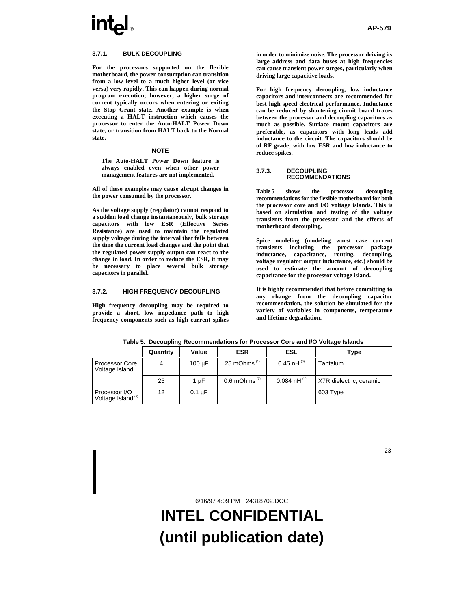### **3.7.1. BULK DECOUPLING**

**For the processors supported on the flexible motherboard, the power consumption can transition from a low level to a much higher level (or vice versa) very rapidly. This can happen during normal program execution; however, a higher surge of current typically occurs when entering or exiting the Stop Grant state. Another example is when executing a HALT instruction which causes the processor to enter the Auto-HALT Power Down state, or transition from HALT back to the Normal state.**

### **NOTE**

**The Auto-HALT Power Down feature is always enabled even when other power management features are not implemented.**

**All of these examples may cause abrupt changes in the power consumed by the processor.**

**As the voltage supply (regulator) cannot respond to a sudden load change instantaneously, bulk storage capacitors with low ESR (Effective Series Resistance) are used to maintain the regulated supply voltage during the interval that falls between the time the current load changes and the point that the regulated power supply output can react to the change in load. In order to reduce the ESR, it may be necessary to place several bulk storage capacitors in parallel.**

### **3.7.2. HIGH FREQUENCY DECOUPLING**

**High frequency decoupling may be required to provide a short, low impedance path to high frequency components such as high current spikes**

**in order to minimize noise. The processor driving its large address and data buses at high frequencies can cause transient power surges, particularly when driving large capacitive loads.**

**For high frequency decoupling, low inductance capacitors and interconnects are recommended for best high speed electrical performance. Inductance can be reduced by shortening circuit board traces between the processor and decoupling capacitors as much as possible. Surface mount capacitors are preferable, as capacitors with long leads add inductance to the circuit. The capacitors should be of RF grade, with low ESR and low inductance to reduce spikes.**

### **3.7.3. DECOUPLING RECOMMENDATIONS**

**Table 5 shows the processor decoupling recommendations for the flexible motherboard for both the processor core and I/O voltage islands. This is based on simulation and testing of the voltage transients from the processor and the effects of motherboard decoupling.**

**Spice modeling (modeling worst case current transients including the processor package inductance, capacitance, routing, decoupling, voltage regulator output inductance, etc.) should be used to estimate the amount of decoupling capacitance for the processor voltage island.**

**It is highly recommended that before committing to any change from the decoupling capacitor recommendation, the solution be simulated for the variety of variables in components, temperature and lifetime degradation.**

|                                                | Quantity | Value       | <b>ESR</b>                              | <b>ESL</b>         | Type                    |
|------------------------------------------------|----------|-------------|-----------------------------------------|--------------------|-------------------------|
| <b>Processor Core</b><br>Voltage Island        |          | 100 µF      | $25$ mOhms <sup><math>(1)</math></sup>  | $0.45$ nH $^{(3)}$ | Tantalum                |
|                                                | 25       | 1 uF        | $0.6$ mOhms <sup><math>(2)</math></sup> | 0.084 nH $^{(4)}$  | X7R dielectric, ceramic |
| Processor I/O<br>Voltage Island <sup>(5)</sup> | 12       | $0.1 \mu F$ |                                         |                    | 603 Type                |

**Table 5. Decoupling Recommendations for Processor Core and I/O Voltage Islands**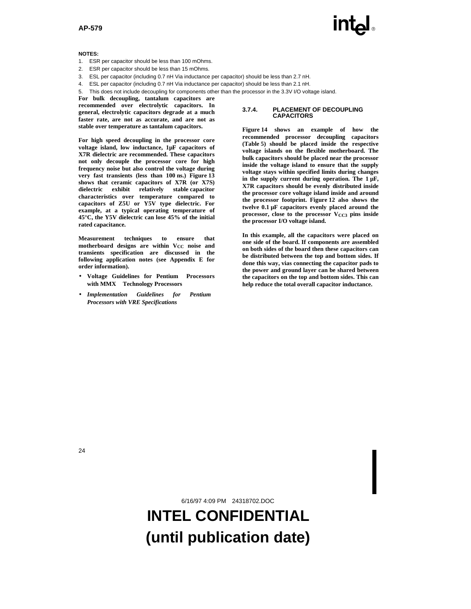### **NOTES:**

- 1. ESR per capacitor should be less than 100 mOhms.
- 2. ESR per capacitor should be less than 15 mOhms.
- 3. ESL per capacitor (including 0.7 nH Via inductance per capacitor) should be less than 2.7 nH.
- 4. ESL per capacitor (including 0.7 nH Via inductance per capacitor) should be less than 2.1 nH.
- 5. This does not include decoupling for components other than the processor in the 3.3V I/O voltage island.

**For bulk decoupling, tantalum capacitors are recommended over electrolytic capacitors. In general, electrolytic capacitors degrade at a much faster rate, are not as accurate, and are not as stable over temperature as tantalum capacitors.**

**For high speed decoupling in the processor core voltage island, low inductance, 1µF capacitors of X7R dielectric are recommended. These capacitors not only decouple the processor core for high frequency noise but also control the voltage during very fast transients (less than 100 ns.) Figure 13 shows that ceramic capacitors of X7R (or X7S) dielectric exhibit relatively stable capacitor characteristics over temperature compared to capacitors of Z5U or Y5V type dielectric. For example, at a typical operating temperature of 45°C, the Y5V dielectric can lose 45% of the initial rated capacitance.**

**Measurement techniques to ensure that** motherboard designs are within V<sub>CC</sub> noise and **transients specification are discussed in the following application notes (see Appendix E for order information).**

- **Voltage Guidelines for Pentium Processors with MMX Technology Processors**
- *Implementation Guidelines for Pentium Processors with VRE Specifications*

### **3.7.4. PLACEMENT OF DECOUPLING CAPACITORS**

**Figure 14 shows an example of how the recommended processor decoupling capacitors (Table 5) should be placed inside the respective voltage islands on the flexible motherboard. The bulk capacitors should be placed near the processor inside the voltage island to ensure that the supply voltage stays within specified limits during changes in the supply current during operation. The 1 µF, X7R capacitors should be evenly distributed inside the processor core voltage island inside and around the processor footprint. Figure 12 also shows the twelve 0.1 µF capacitors evenly placed around the** processor, close to the processor V<sub>CC3</sub> pins inside **the processor I/O voltage island.**

**In this example, all the capacitors were placed on one side of the board. If components are assembled on both sides of the board then these capacitors can be distributed between the top and bottom sides. If done this way, vias connecting the capacitor pads to the power and ground layer can be shared between the capacitors on the top and bottom sides. This can help reduce the total overall capacitor inductance.**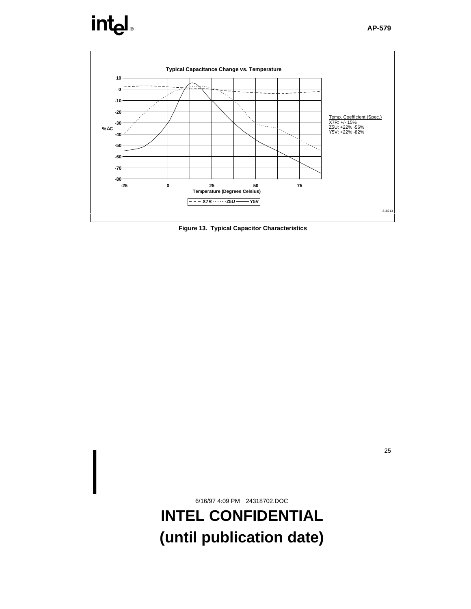

**Figure 13. Typical Capacitor Characteristics**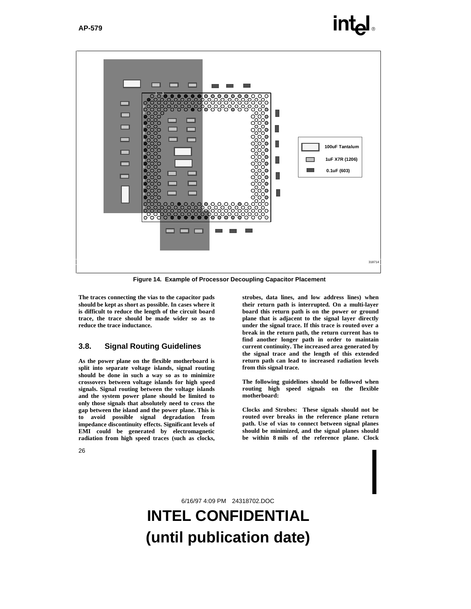



**Figure 14. Example of Processor Decoupling Capacitor Placement**

**The traces connecting the vias to the capacitor pads should be kept as short as possible. In cases where it is difficult to reduce the length of the circuit board trace, the trace should be made wider so as to reduce the trace inductance.**

### **3.8. Signal Routing Guidelines**

**As the power plane on the flexible motherboard is split into separate voltage islands, signal routing should be done in such a way so as to minimize crossovers between voltage islands for high speed signals. Signal routing between the voltage islands and the system power plane should be limited to only those signals that absolutely need to cross the gap between the island and the power plane. This is to avoid possible signal degradation from impedance discontinuity effects. Significant levels of EMI could be generated by electromagnetic radiation from high speed traces (such as clocks,**

**strobes, data lines, and low address lines) when their return path is interrupted. On a multi-layer board this return path is on the power or ground plane that is adjacent to the signal layer directly under the signal trace. If this trace is routed over a break in the return path, the return current has to find another longer path in order to maintain current continuity. The increased area generated by the signal trace and the length of this extended return path can lead to increased radiation levels from this signal trace.**

**The following guidelines should be followed when routing high speed signals on the flexible motherboard:**

**Clocks and Strobes:****These signals should not be routed over breaks in the reference plane return path. Use of vias to connect between signal planes should be minimized, and the signal planes should be within 8 mils of the reference plane. Clock**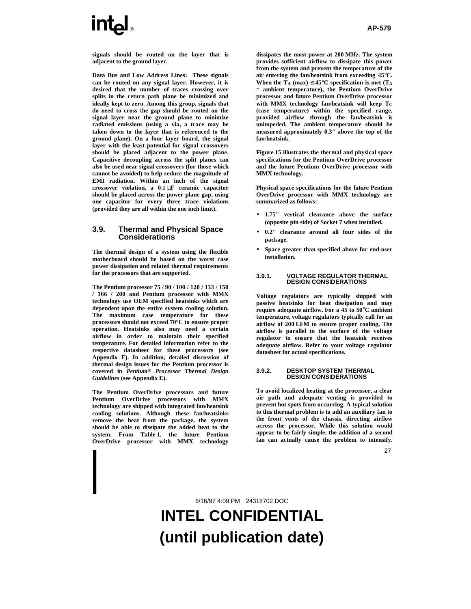**signals should be routed on the layer that is adjacent to the ground layer.**

**Data Bus and Low Address Lines:****These signals can be routed on any signal layer. However, it is desired that the number of traces crossing over splits in the return path plane be minimized and ideally kept to zero. Among this group, signals that do need to cross the gap should be routed on the signal layer near the ground plane to minimize radiated emissions (using a via, a trace may be taken down to the layer that is referenced to the ground plane). On a four layer board, the signal layer with the least potential for signal crossovers should be placed adjacent to the power plane. Capacitive decoupling across the split planes can also be used near signal crossovers (for those which cannot be avoided) to help reduce the magnitude of EMI radiation. Within an inch of the signal crossover violation, a 0.1** µ**F ceramic capacitor should be placed across the power plane gap, using one capacitor for every three trace violations (provided they are all within the one inch limit).**

### **3.9. Thermal and Physical Space Considerations**

**The thermal design of a system using the flexible motherboard should be based on the worst case power dissipation and related thermal requirements for the processors that are supported.**

**The Pentium processor 75 / 90 / 100 / 120 / 133 / 150 / 166 / 200 and Pentium processor with MMX technology use OEM specified heatsinks which are dependent upon the entire system cooling solution. The maximum case temperature for these processors should not exceed 70°C to ensure proper operation. Heatsinks also may need a certain airflow in order to maintain their specified temperature. For detailed information refer to the respective datasheet for these processors (see Appendix E). In addition, detailed discussion of thermal design issues for the Pentium processor is covered in** *Pentium® Processor Thermal Design Guidelines* **(see Appendix E).**

**The Pentium OverDrive processors and future Pentium OverDrive processors with MMX technology are shipped with integrated fan/heatsink cooling solutions. Although these fan/heatsinks remove the heat from the package, the system should be able to dissipate the added heat to the system. From Table 1, the future Pentium OverDrive processor with MMX technology**

**dissipates the most power at 200 MHz. The system provides sufficient airflow to dissipate this power from the system and prevent the temperature of the air entering the fan/heatsink from exceeding 45**°**C.** When the  $T_A$  (max)  $\leq 45^{\circ}$ C specification is met ( $T_A$ ) **= ambient temperature), the Pentium OverDrive processor and future Pentium OverDrive processor** with MMX technology fan/heatsink will keep  $T<sub>C</sub>$ **(case temperature) within the specified range, provided airflow through the fan/heatsink is unimpeded. The ambient temperature should be measured approximately 0.3" above the top of the fan/heatsink.**

**Figure 15 illustrates the thermal and physical space specifications for the Pentium OverDrive processor and the future Pentium OverDrive processor with MMX technology.**

**Physical space specifications for the future Pentium OverDrive processor with MMX technology are summarized as follows:**

- **1.75" vertical clearance above the surface (opposite pin side) of Socket 7 when installed.**
- **0.2" clearance around all four sides of the package.**
- **Space greater than specified above for end-user installation.**

### **3.9.1. VOLTAGE REGULATOR THERMAL DESIGN CONSIDERATIONS**

**Voltage regulators are typically shipped with passive heatsinks for heat dissipation and may require adequate airflow. For a 45 to 50**°**C ambient temperature, voltage regulators typically call for an airflow of 200 LFM to ensure proper cooling. The airflow is parallel to the surface of the voltage regulator to ensure that the heatsink receives adequate airflow. Refer to your voltage regulator datasheet for actual specifications.**

### **3.9.2. DESKTOP SYSTEM THERMAL DESIGN CONSIDERATIONS**

**To avoid localized heating at the processor, a clear air path and adequate venting is provided to prevent hot spots from occurring. A typical solution to this thermal problem is to add an auxiliary fan to the front vents of the chassis, directing airflow across the processor. While this solution would appear to be fairly simple, the addition of a second fan can actually cause the problem to intensify.**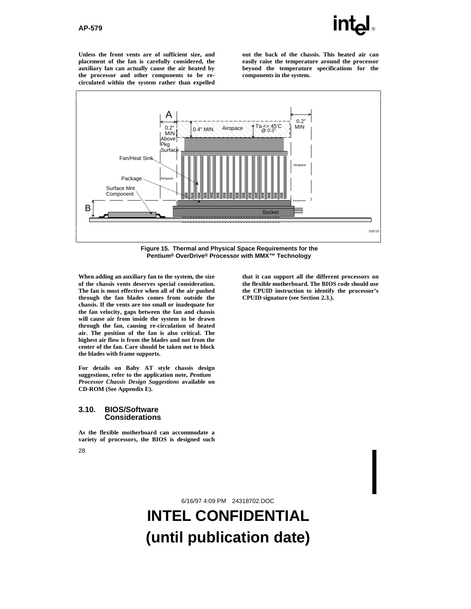**Unless the front vents are of sufficient size, and placement of the fan is carefully considered, the auxiliary fan can actually cause the air heated by the processor and other components to be recirculated within the system rather than expelled**

**out the back of the chassis. This heated air can easily raise the temperature around the processor beyond the temperature specifications for the components in the system.**



**Figure 15. Thermal and Physical Space Requirements for the Pentium® OverDrive® Processor with MMX™ Technology**

**When adding an auxiliary fan to the system, the size of the chassis vents deserves special consideration. The fan is most effective when all of the air pushed through the fan blades comes from outside the chassis. If the vents are too small or inadequate for the fan velocity, gaps between the fan and chassis will cause air from inside the system to be drawn through the fan, causing re-circulation of heated air. The position of the fan is also critical. The highest air flow is from the blades and not from the center of the fan. Care should be taken not to block the blades with frame supports.**

**For details on Baby AT style chassis design suggestions, refer to the application note,** *Pentium Processor Chassis Design Suggestions* **available on CD-ROM (See Appendix E).**

### **3.10. BIOS/Software Considerations**

**As the flexible motherboard can accommodate a variety of processors, the BIOS is designed such**

**that it can support all the different processors on the flexible motherboard. The BIOS code should use the CPUID instruction to identify the processor's CPUID signature (see Section 2.3.).**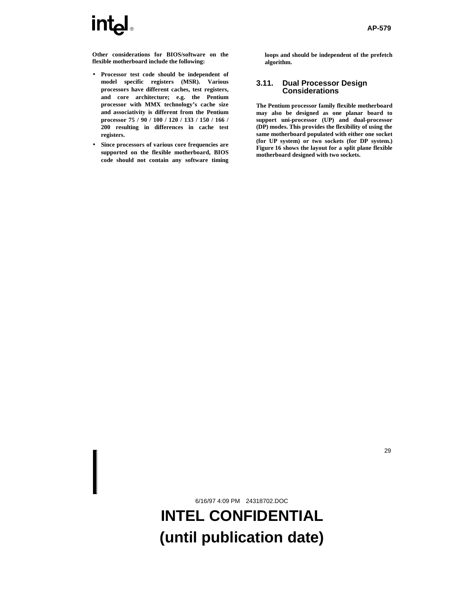**Other considerations for BIOS/software on the flexible motherboard include the following:**

- **Processor test code should be independent of model specific registers (MSR). Various processors have different caches, test registers, and core architecture; e.g. the Pentium processor with MMX technology's cache size and associativity is different from the Pentium processor 75 / 90 / 100 / 120 / 133 / 150 / 166 / 200 resulting in differences in cache test registers.**
- **Since processors of various core frequencies are supported on the flexible motherboard, BIOS code should not contain any software timing**

**loops and should be independent of the prefetch algorithm.**

### **3.11. Dual Processor Design Considerations**

**The Pentium processor family flexible motherboard may also be designed as one planar board to support uni-processor (UP) and dual-processor (DP) modes. This provides the flexibility of using the same motherboard populated with either one socket (for UP system) or two sockets (for DP system.) Figure 16 shows the layout for a split plane flexible motherboard designed with two sockets.**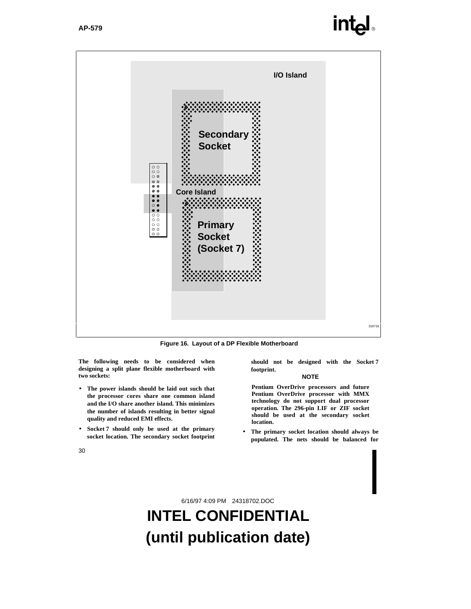

**Figure 16. Layout of a DP Flexible Motherboard**

**The following needs to be considered when designing a split plane flexible motherboard with two sockets:**

- **The power islands should be laid out such that the processor cores share one common island and the I/O share another island. This minimizes the number of islands resulting in better signal quality and reduced EMI effects.**
- **Socket 7 should only be used at the primary socket location. The secondary socket footprint**

**should not be designed with the Socket 7 footprint.**

### **NOTE**

**Pentium OverDrive processors and future Pentium OverDrive processor with MMX technology do not support dual processor operation. The 296-pin LIF or ZIF socket should be used at the secondary socket location.**

• **The primary socket location should always be populated. The nets should be balanced for**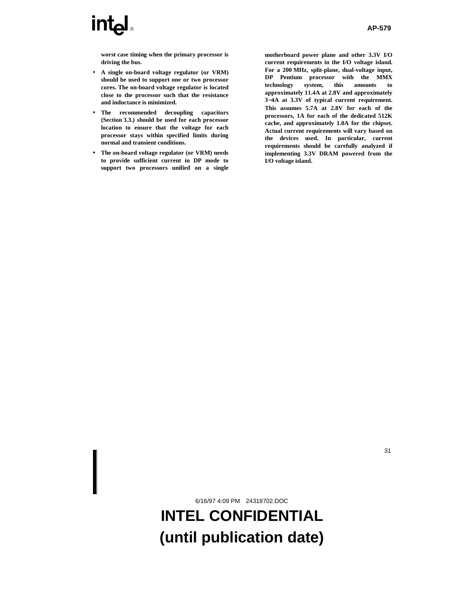**worst case timing when the primary processor is driving the bus.**

- **A single on-board voltage regulator (or VRM) should be used to support one or two processor cores. The on-board voltage regulator is located close to the processor such that the resistance and inductance is minimized.**
- **The recommended decoupling capacitors (Section 3.3.) should be used for each processor location to ensure that the voltage for each processor stays within specified limits during normal and transient conditions.**
- **The on-board voltage regulator (or VRM) needs to provide sufficient current in DP mode to support two processors unified on a single**

**motherboard power plane and other 3.3V I/O current requirements in the I/O voltage island. For a 200 MHz, split-plane, dual-voltage input, DP Pentium processor with the MMX technology system, this amounts to approximately 11.4A at 2.8V and approximately 3**−**4A at 3.3V of typical current requirement. This assumes 5.7A at 2.8V for each of the processors, 1A for each of the dedicated 512K cache, and approximately 1.0A for the chipset. Actual current requirements will vary based on the devices used. In particular, current requirements should be carefully analyzed if implementing 3.3V DRAM powered from the I/O voltage island.**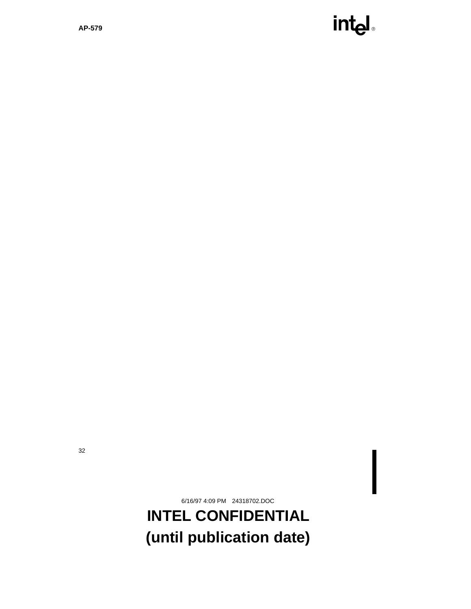I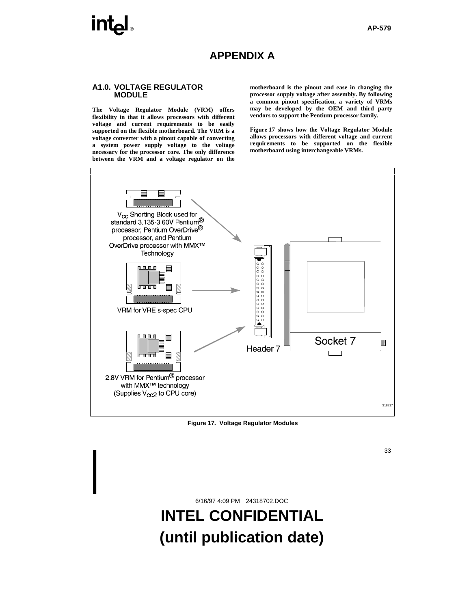### **APPENDIX A**

### **A1.0. VOLTAGE REGULATOR MODULE**

**The Voltage Regulator Module (VRM) offers flexibility in that it allows processors with different voltage and current requirements to be easily supported on the flexible motherboard. The VRM is a voltage converter with a pinout capable of converting a system power supply voltage to the voltage necessary for the processor core. The only difference between the VRM and a voltage regulator on the**

**motherboard is the pinout and ease in changing the processor supply voltage after assembly. By following a common pinout specification, a variety of VRMs may be developed by the OEM and third party vendors to support the Pentium processor family.**

**Figure 17 shows how the Voltage Regulator Module allows processors with different voltage and current requirements to be supported on the flexible motherboard using interchangeable VRMs.**



**Figure 17. Voltage Regulator Modules**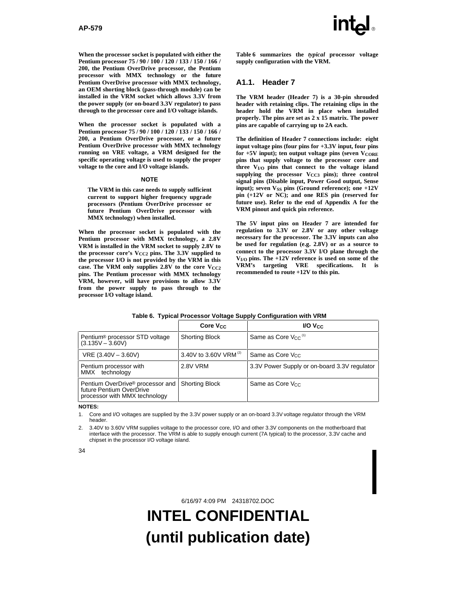**When the processor socket is populated with either the Pentium processor 75 / 90 / 100 / 120 / 133 / 150 / 166 / 200, the Pentium OverDrive processor, the Pentium processor with MMX technology or the future Pentium OverDrive processor with MMX technology, an OEM shorting block (pass-through module) can be installed in the VRM socket which allows 3.3V from the power supply (or on-board 3.3V regulator) to pass through to the processor core and I/O voltage islands.**

**When the processor socket is populated with a Pentium processor 75 / 90 / 100 / 120 / 133 / 150 / 166 / 200, a Pentium OverDrive processor, or a future Pentium OverDrive processor with MMX technology running on VRE voltage, a VRM designed for the specific operating voltage is used to supply the proper voltage to the core and I/O voltage islands.**

### **NOTE**

**The VRM in this case needs to supply sufficient current to support higher frequency upgrade processors (Pentium OverDrive processor or future Pentium OverDrive processor with MMX technology) when installed.**

**When the processor socket is populated with the Pentium processor with MMX technology, a 2.8V VRM is installed in the VRM socket to supply 2.8V to** the processor core's V<sub>CC2</sub> pins. The 3.3V supplied to **the processor I/O is not provided by the VRM in this** case. The VRM only supplies  $2.8V$  to the core  $V_{CC2}$ **pins. The Pentium processor with MMX technology VRM, however, will have provisions to allow 3.3V from the power supply to pass through to the processor I/O voltage island.**

**Table 6 summarizes the** *typical* **processor voltage supply configuration with the VRM.**

### **A1.1. Header 7**

**The VRM header (Header 7) is a 30-pin shrouded header with retaining clips. The retaining clips in the header hold the VRM in place when installed properly. The pins are set as 2 x 15 matrix. The power pins are capable of carrying up to 2A each.**

**The definition of Header 7 connections include: eight input voltage pins (four pins for +3.3V input, four pins** for  $+5V$  input); ten output voltage pins (seven  $V_{\text{CORE}}$ **pins that supply voltage to the processor core and three VI/O pins that connect to the voltage island** supplying the processor V<sub>CC3</sub> pins); three control **signal pins (Disable input, Power Good output, Sense** input); seven V<sub>SS</sub> pins (Ground reference); one +12V **pin (+12V or NC); and one RES pin (reserved for future use). Refer to the end of Appendix A for the VRM pinout and quick pin reference.**

**The 5V input pins on Header 7 are intended for regulation to 3.3V or 2.8V or any other voltage necessary for the processor. The 3.3V inputs can also be used for regulation (e.g. 2.8V) or as a source to connect to the processor 3.3V I/O plane through the VI/O pins. The +12V reference is used on some of the VRM's targeting VRE specifications. It is recommended to route +12V to this pin.**

| Table 6. Typical Processor Voltage Supply Configuration with VRM |  |  |
|------------------------------------------------------------------|--|--|

|                                                                                                 | Core V <sub>CC</sub>              | $VQ$ V <sub>CC</sub>                         |
|-------------------------------------------------------------------------------------------------|-----------------------------------|----------------------------------------------|
| Pentium <sup>®</sup> processor STD voltage<br>$(3.135V - 3.60V)$                                | <b>Shorting Block</b>             | Same as Core $V_{CC}$ <sup>(1)</sup>         |
| $VRE$ (3.40V $-$ 3.60V)                                                                         | 3.40V to 3.60V VRM <sup>(2)</sup> | Same as Core V <sub>CC</sub>                 |
| Pentium processor with<br>MMX <sup>™</sup> technology                                           | 2.8V VRM                          | 3.3V Power Supply or on-board 3.3V regulator |
| Pentium OverDrive® processor and  <br>future Pentium OverDrive<br>processor with MMX technology | <b>Shorting Block</b>             | Same as Core V <sub>CC</sub>                 |

### **NOTES:**

1. Core and I/O voltages are supplied by the 3.3V power supply or an on-board 3.3V voltage regulator through the VRM header.

2. 3.40V to 3.60V VRM supplies voltage to the processor core, I/O and other 3.3V components on the motherboard that interface with the processor. The VRM is able to supply enough current (7A typical) to the processor, 3.3V cache and chipset in the processor I/O voltage island.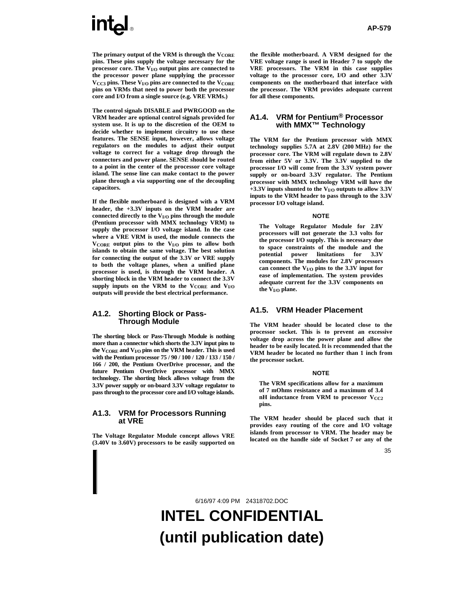The primary output of the VRM is through the V<sub>CORE</sub> **pins. These pins supply the voltage necessary for the processor core. The VI/O output pins are connected to the processor power plane supplying the processor** V<sub>CC3</sub> pins. These V<sub>I/O</sub> pins are connected to the V<sub>CORE</sub> **pins on VRMs that need to power both the processor core and I/O from a single source (e.g. VRE VRMs.)**

**The control signals DISABLE and PWRGOOD on the VRM header are optional control signals provided for system use. It is up to the discretion of the OEM to decide whether to implement circuitry to use these features. The SENSE input, however, allows voltage regulators on the modules to adjust their output voltage to correct for a voltage drop through the connectors and power plane. SENSE should be routed to a point in the center of the processor core voltage island. The sense line can make contact to the power plane through a via supporting one of the decoupling capacitors.**

**If the flexible motherboard is designed with a VRM header, the +3.3V inputs on the VRM header are** connected directly to the V<sub>I/O</sub> pins through the module **(Pentium processor with MMX technology VRM) to supply the processor I/O voltage island. In the case where a VRE VRM is used, the module connects the VCORE output pins to the VI/O pins to allow both islands to obtain the same voltage. The best solution for connecting the output of the 3.3V or VRE supply to both the voltage planes, when a unified plane processor is used, is through the VRM header. A shorting block in the VRM header to connect the 3.3V** supply inputs on the VRM to the  $V_{\text{CORE}}$  and  $V_{\text{I/O}}$ **outputs will provide the best electrical performance.**

### **A1.2. Shorting Block or Pass-Through Module**

**The shorting block or Pass-Through Module is nothing more than a connector which shorts the 3.3V input pins to** the V<sub>CORE</sub> and V<sub>I/O</sub> pins on the VRM header. This is used **with the Pentium processor 75 / 90 / 100 / 120 / 133 / 150 / 166 / 200, the Pentium OverDrive processor, and the future Pentium OverDrive processor with MMX technology. The shorting block allows voltage from the 3.3V power supply or on-board 3.3V voltage regulator to pass through to the processor core and I/O voltage islands.**

### **A1.3. VRM for Processors Running at VRE**

**The Voltage Regulator Module concept allows VRE (3.40V to 3.60V) processors to be easily supported on** **the flexible motherboard. A VRM designed for the VRE voltage range is used in Header 7 to supply the VRE processors. The VRM in this case supplies voltage to the processor core, I/O and other 3.3V components on the motherboard that interface with the processor. The VRM provides adequate current for all these components.**

### **A1.4. VRM for Pentium® Processor with MMX™ Technology**

**The VRM for the Pentium processor with MMX technology supplies 5.7A at 2.8V (200 MHz) for the processor core. The VRM will regulate down to 2.8V from either 5V or 3.3V. The 3.3V supplied to the processor I/O will come from the 3.3V system power supply or on-board 3.3V regulator. The Pentium processor with MMX technology VRM will have the +3.3V inputs shunted to the VI/O outputs to allow 3.3V inputs to the VRM header to pass through to the 3.3V processor I/O voltage island.**

### **NOTE**

**The Voltage Regulator Module for 2.8V processors will not generate the 3.3 volts for the processor I/O supply. This is necessary due to space constraints of the module and the potential power limitations for 3.3V components. The modules for 2.8V processors can connect the VI/O pins to the 3.3V input for ease of implementation. The system provides adequate current for the 3.3V components on the VI/O plane.**

### **A1.5. VRM Header Placement**

**The VRM header should be located close to the processor socket. This is to prevent an excessive voltage drop across the power plane and allow the header to be easily located. It is recommended that the VRM header be located no further than 1 inch from the processor socket.**

### **NOTE**

**The VRM specifications allow for a maximum of 7 mOhms resistance and a maximum of 3.4**  $nH$  inductance from VRM to processor  $V_{CC2}$ **pins.**

**The VRM header should be placed such that it provides easy routing of the core and I/O voltage islands from processor to VRM. The header may be located on the handle side of Socket 7 or any of the**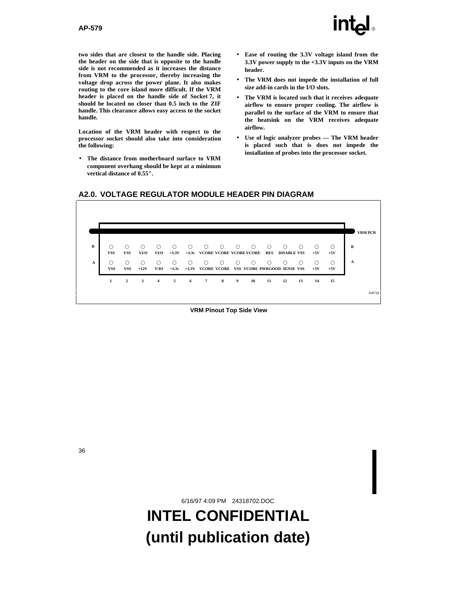

**two sides that are closest to the handle side. Placing the header on the side that is opposite to the handle side is not recommended as it increases the distance from VRM to the processor, thereby increasing the voltage drop across the power plane. It also makes routing to the core island more difficult. If the VRM header is placed on the handle side of Socket 7, it should be located no closer than 0.5 inch to the ZIF handle. This clearance allows easy access to the socket handle.**

**Location of the VRM header with respect to the processor socket should also take into consideration the following:**

• **The distance from motherboard surface to VRM component overhang should be kept at a minimum vertical distance of 0.55".**

- **Ease of routing the 3.3V voltage island from the 3.3V power supply to the +3.3V inputs on the VRM header.**
- **The VRM does not impede the installation of full size add-in cards in the I/O slots.**
- **The VRM is located such that it receives adequate airflow to ensure proper cooling. The airflow is parallel to the surface of the VRM to ensure that the heatsink on the VRM receives adequate airflow.**
- **Use of logic analyzer probes The VRM header is placed such that is does not impede the installation of probes into the processor socket.**

### **VRM PCB B**  $\circ$  $\circ$  $\bigcirc$  $\circ$  $\bigcirc$  $\circ$  $\circ$  $\circ$  $\circ$  $\circ$  $\circ$  $\circ$  $\circ$  $\circ$  $\circ$ **B VI/O +3.3V DISABLE VSS VSS +5V +5V VI/O RES +3.3v VCORE VCORE VCORE VSS VCORE DISABLE**  $\circ$  $\circ$  $\circ$  $\circ$  $\circlearrowright$  $\circ$  $\circ$  $\circ$  $\circ$  $\circ$  $\circ$  $\circ$  $\circ$  $\circ$ **A**  $\circ$ **A VSS +5V VSS** +12V **V/IO** +3.3v +3.3V **VCORE VCORE** VSS **VCORE** PWRGOOD SENSE VSS +5V **1 2 3 4 5 6 7 8 9 10 11 12 13 14 15** 318718

### **A2.0. VOLTAGE REGULATOR MODULE HEADER PIN DIAGRAM**

**VRM Pinout Top Side View**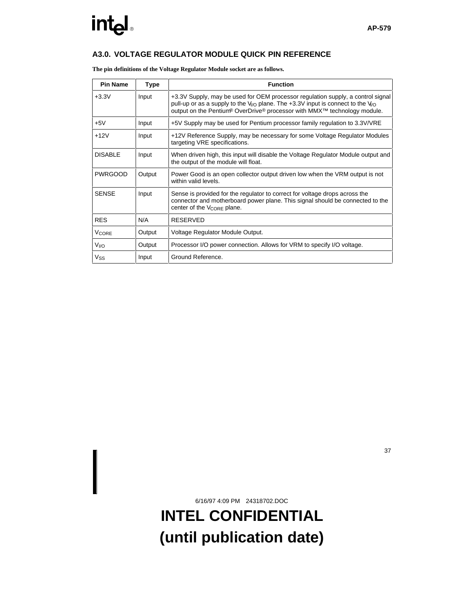### **A3.0. VOLTAGE REGULATOR MODULE QUICK PIN REFERENCE**

| <b>Pin Name</b>         | <b>Type</b> | <b>Function</b>                                                                                                                                                                                                                                                       |
|-------------------------|-------------|-----------------------------------------------------------------------------------------------------------------------------------------------------------------------------------------------------------------------------------------------------------------------|
| $+3.3V$                 | Input       | +3.3V Supply, may be used for OEM processor regulation supply, a control signal<br>pull-up or as a supply to the $V_{1/2}$ plane. The +3.3V input is connect to the $V_{1/2}$<br>output on the Pentium® OverDrive® processor with MMX <sup>™</sup> technology module. |
| $+5V$                   | Input       | +5V Supply may be used for Pentium processor family regulation to 3.3V/VRE                                                                                                                                                                                            |
| $+12V$                  | Input       | +12V Reference Supply, may be necessary for some Voltage Regulator Modules<br>targeting VRE specifications.                                                                                                                                                           |
| <b>DISABLE</b>          | Input       | When driven high, this input will disable the Voltage Regulator Module output and<br>the output of the module will float.                                                                                                                                             |
| <b>PWRGOOD</b>          | Output      | Power Good is an open collector output driven low when the VRM output is not<br>within valid levels.                                                                                                                                                                  |
| <b>SENSE</b>            | Input       | Sense is provided for the regulator to correct for voltage drops across the<br>connector and motherboard power plane. This signal should be connected to the<br>center of the V <sub>CORE</sub> plane.                                                                |
| <b>RES</b>              | N/A         | <b>RESERVED</b>                                                                                                                                                                                                                                                       |
| <b>V<sub>CORE</sub></b> | Output      | Voltage Regulator Module Output.                                                                                                                                                                                                                                      |
| V <sub>1/2</sub>        | Output      | Processor I/O power connection. Allows for VRM to specify I/O voltage.                                                                                                                                                                                                |
| V <sub>SS</sub>         | Input       | Ground Reference.                                                                                                                                                                                                                                                     |

**The pin definitions of the Voltage Regulator Module socket are as follows.**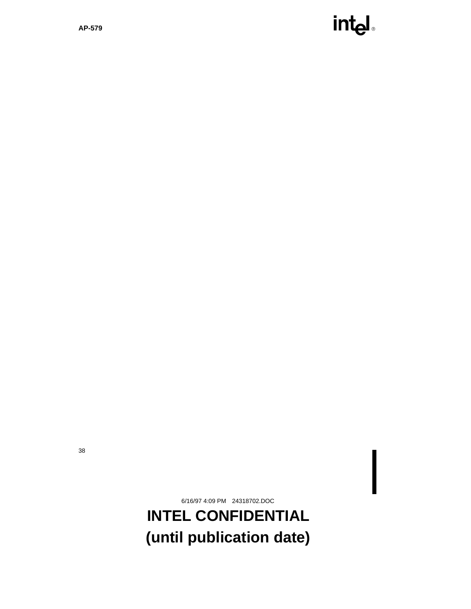I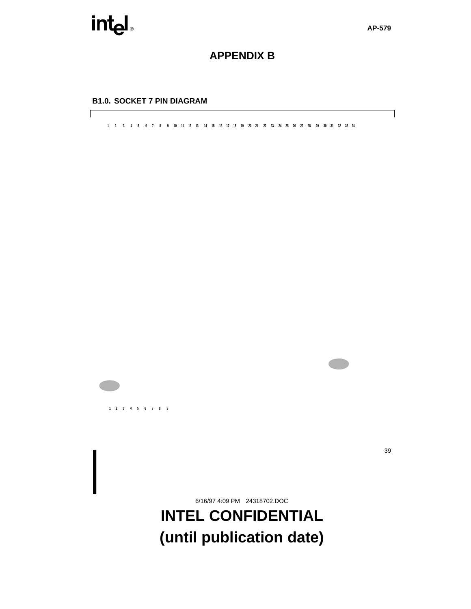$\Gamma$ 

### **APPENDIX B**

### **B1.0. SOCKET 7 PIN DIAGRAM**

| 1 2 3 4 5 6 7 8 9 10 11 12 13 14 15 16 17 18 19 20 21 22 23 24 25 26 27 28 29 30 31 32 33 34 |  |  |  |  |  |  |  |  |  |  |  |  |  |  |  |  |  |
|----------------------------------------------------------------------------------------------|--|--|--|--|--|--|--|--|--|--|--|--|--|--|--|--|--|





**12 3 4 5 6 7 8 9**

 $\overline{\phantom{a}}$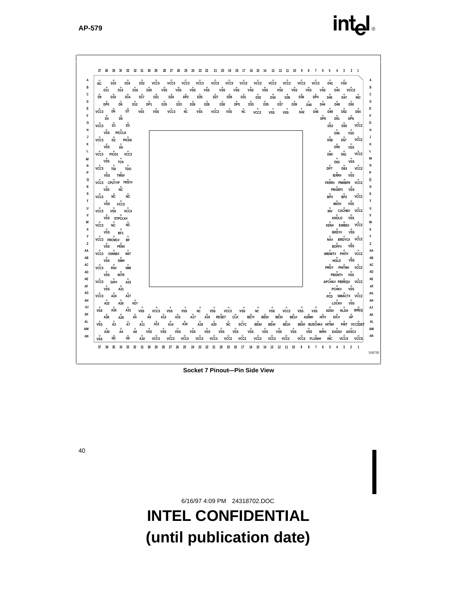|    | 37 36 35 34 33 32 31 30 29 28 27 26 25 24 23 22 21 20 19 18 17 16 15 14 13 12 11 10 9 8 7 6 5 4 3 2 1                                                                                                                                                                                                                                                                                    |              |
|----|------------------------------------------------------------------------------------------------------------------------------------------------------------------------------------------------------------------------------------------------------------------------------------------------------------------------------------------------------------------------------------------|--------------|
|    |                                                                                                                                                                                                                                                                                                                                                                                          |              |
| А  | $\circ$<br>$\Omega$<br>$\Omega$<br>$\overset{\circ}{\text{D22}}$<br>$\overline{v_{CC3}}$<br>$\rm{v}\rm{c}\rm{c}\rm{3}$<br>$\overline{v_{CC3}^{\circ}}$<br>vcc3 vcc3 vcc2 vcc2<br>$\overline{v_{CC2}}$<br>$\rm{v}\rm{c}\rm{c}\rm{c}$<br>$\Omega$<br>$\overline{v_{CC3}^{\circ}}$<br>VCC <sub>2</sub><br>D <sub>18</sub><br>VCC <sub>2</sub><br>D <sub>15</sub><br>D41<br><b>VSS</b><br>ΝC | А            |
| В  | VŠS<br>VSS<br>VŠS<br><b>VSS</b><br>VŠS<br>D11<br>D <sub>13</sub><br>D <sub>16</sub><br>D <sub>20</sub><br><b>VSS</b><br><b>VSS</b><br><b>VSS</b><br><b>VSS</b><br><b>VSS</b><br><b>VSS</b><br><b>VSS</b><br>D43<br>VCC <sub>2</sub>                                                                                                                                                      | B            |
| c  | D <sub>29</sub><br>D9                                                                                                                                                                                                                                                                                                                                                                    | C            |
| D  | D <sub>10</sub><br>D14<br>D17<br>D <sub>21</sub><br>D <sub>24</sub><br>DP <sub>2</sub><br>D <sub>25</sub><br>D <sub>27</sub><br>D31<br>D32<br>D34<br>D36<br>D38<br>DP4<br>D45<br><b>D47</b><br><b>INC</b><br>$\circ$<br>$\circ$<br>$\circ$<br>$\circ$<br>$\circ$<br>$\circ$<br>$\circ$<br>$\circ$<br>$\circ$<br>$\circ$                                                                  | D            |
| Е  | D <sub>8</sub><br>D <sub>12</sub><br>DP <sub>1</sub><br>D <sub>19</sub><br>D <sub>23</sub><br>D <sub>26</sub><br>D <sub>28</sub><br>D30<br>DP <sub>3</sub><br>D <sub>33</sub><br>D <sub>35</sub><br>D37<br>D39<br>D <sub>48</sub><br>DP <sub>0</sub><br>D40<br>D44<br><b>D50</b><br>$\circ$<br>$\circ$<br>$\circ$                                                                        | Е            |
| F  | <b>VSS</b><br><b>NC</b><br>VCC3<br>D <sub>6</sub><br>D7<br><b>VSS</b><br>VCC3<br><b>VSS</b><br>VCC3<br><b>VSS</b><br><b>NC</b><br>D46<br>D49<br><b>D52</b><br>D <sub>54</sub><br><b>D42</b><br>VCC <sub>2</sub><br><b>VSS</b><br><b>VSS</b>                                                                                                                                              | F            |
|    | D4<br>D <sub>5</sub><br>DP <sub>5</sub><br>D <sub>51</sub><br>DP <sub>6</sub>                                                                                                                                                                                                                                                                                                            |              |
| G  | $vcc3$ $vcc3$<br>D <sub>3</sub><br>VCC <sub>2</sub><br><b>D55</b><br>D <sub>53</sub>                                                                                                                                                                                                                                                                                                     | G            |
| н  | $\circ$<br>$\circ$<br>VSS PICCLK<br><b>D56</b><br><b>VSS</b>                                                                                                                                                                                                                                                                                                                             | н            |
|    | $\sim$<br>$\Omega$<br>$VCC3$ $D2$<br><b>PICD0</b><br>VCC <sub>2</sub><br><b>D58</b><br>D57                                                                                                                                                                                                                                                                                               | п            |
| K  | $\Omega$<br>$\circ$<br>$\Omega$<br>$\Omega$<br><b>VSS</b><br>D59<br><b>VSS</b><br>D <sub>0</sub>                                                                                                                                                                                                                                                                                         | ĸ            |
| L  | $\circ$<br>$\circ$<br>$\circ$<br>VCC <sub>2</sub>                                                                                                                                                                                                                                                                                                                                        | L            |
| м  | VCC3 PICD1 VCC3<br>D60 D61<br>$\circ$<br>$\circ$<br>$\circ$<br>$\Omega$                                                                                                                                                                                                                                                                                                                  | м            |
| N  | <b>VSS</b><br>TCK<br><b>D62</b><br><b>VSS</b><br>$\Omega$<br>$\circ$<br>$\Omega$<br>$\Omega$<br>$\Omega$<br>$\Omega$                                                                                                                                                                                                                                                                     | N            |
| P  | VCC3 TDI<br>DP7<br>D <sub>63</sub><br>VCC <sub>2</sub><br><b>TDO</b><br>$\circ$<br>$\Omega$                                                                                                                                                                                                                                                                                              | P            |
| Q  | IERR#<br><b>VSS</b><br>VSS TMS#                                                                                                                                                                                                                                                                                                                                                          | 0            |
|    | VCC3 CPUTYP TRST#<br>FERR# PM0BP0 VCC2                                                                                                                                                                                                                                                                                                                                                   | R            |
| R  | PM1BP1 VSS<br><b>VSS</b><br><b>NC</b>                                                                                                                                                                                                                                                                                                                                                    |              |
| s  | BP <sub>2</sub><br>VCC <sub>2</sub><br>VCC3 NC<br><b>NC</b><br>BP3                                                                                                                                                                                                                                                                                                                       | s            |
| T  | $\Omega$<br>MVO# VŠS<br>VSS VCC3                                                                                                                                                                                                                                                                                                                                                         | T            |
| U  | $\sim$<br>$\Omega$<br>$\Omega$<br>$\Omega$<br>INV CACHE# VCC2<br>VCC3 VSS<br>VCC3                                                                                                                                                                                                                                                                                                        | u            |
| v  | $\Omega$<br>$\Omega$<br>AHOLD VSS<br>VSS STPCLK#                                                                                                                                                                                                                                                                                                                                         | $\mathbf{u}$ |
| w  | $\Omega$<br>$\circ$<br>$\Omega$<br>$\Omega$<br>$\circ$<br>VCC3 NC<br>KEN# EWBE# VCC2<br>NC.                                                                                                                                                                                                                                                                                              | W            |
| x  | $\circ$<br>$\Omega$<br>$\Omega$<br>$\circ$<br>BRDY#<br><b>VSS</b>                                                                                                                                                                                                                                                                                                                        | x            |
| Y  | VSS<br>BF1<br>$\circ$<br>$\circ$<br>$\Omega$<br>$\Omega$<br>$\circ$                                                                                                                                                                                                                                                                                                                      | Υ            |
| z  | NA# BRDYC# VCC2<br>VCC3 FRCMC#<br>BF<br>$\circ$<br>vŝs                                                                                                                                                                                                                                                                                                                                   | z            |
| AA | VSS PEN#<br>BOFF#<br>$\circ$<br>$\circ$<br>$\circ$<br>$\circ$<br>$\circ$<br>$\circ$                                                                                                                                                                                                                                                                                                      | AA           |
| AB | VCC3 IGNNE# INIT<br>WB/WT# PHIT# VCC2                                                                                                                                                                                                                                                                                                                                                    | AB           |
|    | $H_{\text{QLD}}$ $V_{\text{SS}}$<br>SMI#<br>vss<br>$\circ$<br>$\sim$<br>$\Omega$                                                                                                                                                                                                                                                                                                         |              |
| AC | PRDY PHITM# VCC2<br>VCC3<br>RS#<br><b>NMI</b>                                                                                                                                                                                                                                                                                                                                            | AC           |
| AD | $\sim$<br>$\sim$<br>$\sim$<br>$\sim$<br>PBGNT# VSS<br>VSS<br><b>INTR</b>                                                                                                                                                                                                                                                                                                                 | AD           |
| AE | $\sim$<br>$\alpha$<br>$\sim$<br>VCC3<br>APCHK# PBREQ# VCC2<br>D/P#<br>A <sub>23</sub>                                                                                                                                                                                                                                                                                                    | AE           |
| AF | $\Omega$<br>$\Omega$<br>$\Omega$<br>PCHK# VSS<br><b>VSS</b><br>A21                                                                                                                                                                                                                                                                                                                       | AF           |
| AG | $\Omega$<br>VCC3<br>A24<br>PCD SMIACT# VCC2<br>A27                                                                                                                                                                                                                                                                                                                                       | AG           |
| AН | $\overline{\phantom{0}}$<br>$\circ$<br>$\circ$<br>o<br>$\circ$<br>LOCK#<br><b>VSS</b><br>A22<br>A26<br>KEY                                                                                                                                                                                                                                                                               | AH           |
| AJ | $\circ$<br>$\circ$<br>$\circ$<br>$\Omega$<br>$\Omega$<br>$\Omega$<br>$\circ$<br>$\circ$<br>$\bullet$<br>$\circ$<br>$\circ$<br>$\Omega$<br>$\Omega$<br>$\circ$<br>$\circ$<br>$\circ$<br>$\bullet$<br>A25                                                                                                                                                                                  | AJ           |
| AK | <b>VSS</b><br>A31<br>ADS# HLDA BREQ<br><b>VSS</b><br>VCC3 VSS<br>VSS<br><b>NC</b><br>VCC3<br>VSS<br><b>NC</b><br>VSS<br>VCC <sub>2</sub><br>VSS<br><b>VSS</b><br><b>VSS</b>                                                                                                                                                                                                              | AK           |
| AL | <b>RESET</b><br>A28<br>A29<br>A13<br>A15<br>A17<br>A19<br>CLK<br><b>BE7#</b><br><b>BE5#</b><br><b>BE3#</b><br><b>BE1#</b><br>A20M#<br>HIT#<br>D/C#<br>AP<br><b>A5</b><br>A9<br>$\circ$                                                                                                                                                                                                   | AL           |
| AM | A12<br>A16<br>VSS<br>A20<br><b>NC</b><br><b>SCYC</b><br><b>BE6#</b><br><b>BE4#</b><br><b>BE2#</b><br>BE0# BUSCHK# HITM#<br>PWT VCC2DE<br>A <sub>3</sub><br><b>A7</b><br>A11<br>A14<br>A18<br>$\circ$                                                                                                                                                                                     | AM           |
| AN | <b>VSS</b><br><b>VSS</b><br><b>VSS</b><br><b>VSS</b><br><b>VSS</b><br><b>VSS</b><br><b>VSS</b><br><b>VSS</b><br><b>VSS</b><br><b>VSS</b><br><b>VSS</b><br><b>VSS</b><br>W/R#<br>EADS# ADSC#<br>A30<br>A4<br>A8<br>$\Omega$                                                                                                                                                               | AN           |
|    | <b>NC</b><br>VCC <sub>2</sub><br><b>FLUSH#</b><br>A6<br>A10<br>VCC <sub>3</sub><br>VCC <sub>3</sub><br>VCC <sub>3</sub><br>VCC <sub>3</sub><br>VCC <sub>3</sub><br>VCC <sub>2</sub><br>VCC <sub>2</sub><br>VCC <sub>2</sub><br>VCC <sub>2</sub><br>VCC <sub>2</sub><br><b>INC</b><br><b>VSS</b><br>VCC5<br>VCC <sub>5</sub>                                                              |              |
|    | 37 36 35 34 33 32 31 30 29 28 27 26 25 24 23 22 21 20 19 18 17 16 15 14 13 12 11 10<br>- 9<br>8<br>$\overline{1}$<br>6<br>5<br>4<br>3 2 1                                                                                                                                                                                                                                                |              |
|    |                                                                                                                                                                                                                                                                                                                                                                                          | 318720       |
|    |                                                                                                                                                                                                                                                                                                                                                                                          |              |

**Socket 7 Pinout—Pin Side View**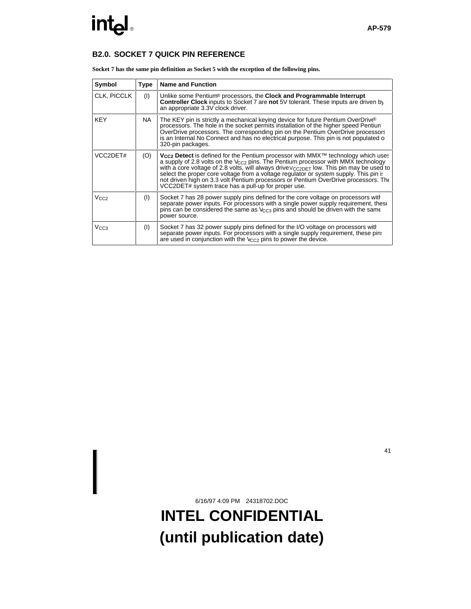### **B2.0. SOCKET 7 QUICK PIN REFERENCE**

**Socket 7 has the same pin definition as Socket 5 with the exception of the following pins.**

| Symbol           | Type | <b>Name and Function</b>                                                                                                                                                                                                                                                                                                                                                                                                                                                                                                                         |
|------------------|------|--------------------------------------------------------------------------------------------------------------------------------------------------------------------------------------------------------------------------------------------------------------------------------------------------------------------------------------------------------------------------------------------------------------------------------------------------------------------------------------------------------------------------------------------------|
| CLK, PICCLK      | (I)  | Unlike some Pentium® processors, the Clock and Programmable Interrupt<br><b>Controller Clock</b> inputs to Socket 7 are not 5V tolerant. These inputs are driven by<br>an appropriate 3.3V clock driver.                                                                                                                                                                                                                                                                                                                                         |
| <b>KEY</b>       | NA.  | The KEY pin is strictly a mechanical keying device for future Pentium OverDriv®<br>processors. The hole in the socket permits installation of the higher speed Pentiun<br>OverDrive processors. The corresponding pin on the Pentium OverDrive processors<br>is an Internal No Connect and has no electrical purpose. This pin is not populated o<br>320-pin packages.                                                                                                                                                                           |
| VCC2DET#         | (O)  | <b>V<sub>CC2</sub> Detect is defined for the Pentium processor with MMX<sup>TM</sup> technology which uses</b><br>a supply of 2.8 volts on the $V_{CC2}$ pins. The Pentium processor with MMX technology<br>with a core voltage of 2.8 volts, will always drive $V_{CC2DET}$ low. This pin may be used to<br>select the proper core voltage from a voltage regulator or system supply. This pin it<br>not driven high on 3.3 volt Pentium processors or Pentium OverDrive processors. The<br>VCC2DET# system trace has a pull-up for proper use. |
| V <sub>CC2</sub> | (I)  | Socket 7 has 28 power supply pins defined for the core voltage on processors with<br>separate power inputs. For processors with a single power supply requirement, these<br>pins can be considered the same as $V_{CC3}$ pins and should be driven with the same<br>power source.                                                                                                                                                                                                                                                                |
| V <sub>CC3</sub> | (I)  | Socket 7 has 32 power supply pins defined for the I/O voltage on processors with<br>separate power inputs. For processors with a single supply requirement, these pins<br>are used in conjunction with the $V_{CC2}$ pins to power the device.                                                                                                                                                                                                                                                                                                   |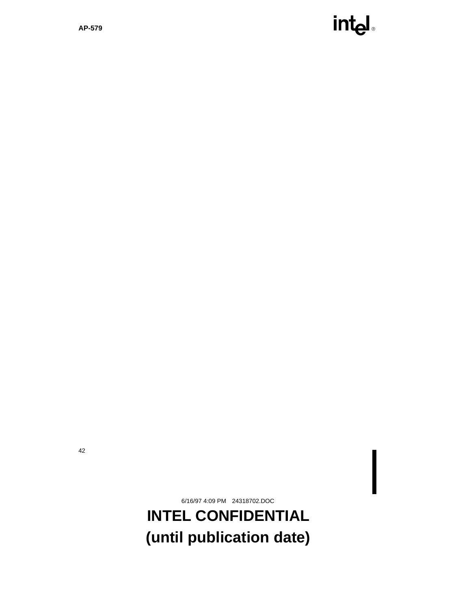I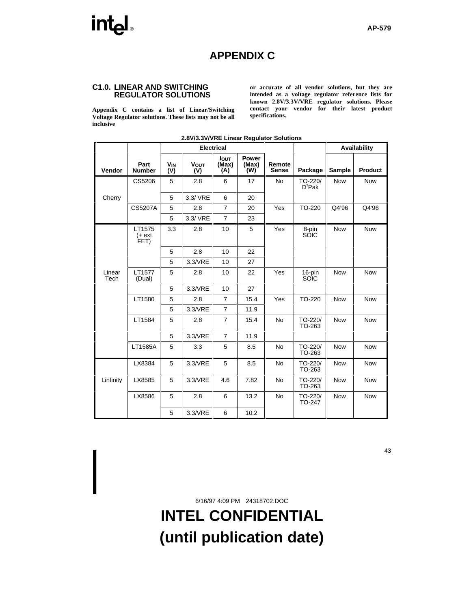### **APPENDIX C**

### **C1.0. LINEAR AND SWITCHING REGULATOR SOLUTIONS**

**Appendix C contains a list of Linear/Switching Voltage Regulator solutions. These lists may not be all inclusive**

**or accurate of all vendor solutions, but they are intended as a voltage regulator reference lists for known 2.8V/3.3V/VRE regulator solutions. Please contact your vendor for their latest product specifications.**

|                |                            |                              |                    | <b>Electrical</b>                |                       |                        |                      |            | Availability   |
|----------------|----------------------------|------------------------------|--------------------|----------------------------------|-----------------------|------------------------|----------------------|------------|----------------|
| Vendor         | Part<br><b>Number</b>      | <b>V<sub>IN</sub></b><br>(V) | <b>Vout</b><br>(V) | $I_{\text{OUT}}$<br>(Max)<br>(A) | Power<br>(Max)<br>(W) | Remote<br><b>Sense</b> | Package              | Sample     | <b>Product</b> |
|                | CS5206                     | 5                            | 2.8                | 6                                | 17                    | <b>No</b>              | TO-220/<br>$D^2$ Pak | <b>Now</b> | <b>Now</b>     |
| Cherry         |                            | 5                            | 3.3/ VRE           | 6                                | 20                    |                        |                      |            |                |
|                | <b>CS5207A</b>             | 5                            | 2.8                | $\overline{7}$                   | 20                    | Yes                    | TO-220               | Q4'96      | Q4'96          |
|                |                            | 5                            | 3.3/ VRE           | $\overline{7}$                   | 23                    |                        |                      |            |                |
|                | LT1575<br>$(+ ext$<br>FET) | 3.3                          | 2.8                | 10                               | 5                     | Yes                    | 8-pin<br>SÓIC        | <b>Now</b> | <b>Now</b>     |
|                |                            | 5                            | 2.8                | 10                               | 22                    |                        |                      |            |                |
|                |                            | 5                            | 3.3/VRE            | 10                               | 27                    |                        |                      |            |                |
| Linear<br>Tech | LT1577<br>(Dual)           | 5                            | 2.8                | 10                               | 22                    | Yes                    | 16-pin<br>SOIC       | <b>Now</b> | <b>Now</b>     |
|                |                            | 5                            | 3.3/VRE            | 10                               | 27                    |                        |                      |            |                |
|                | LT1580                     | 5                            | 2.8                | $\overline{7}$                   | 15.4                  | Yes                    | TO-220               | <b>Now</b> | <b>Now</b>     |
|                |                            | 5                            | 3.3/VRE            | $\overline{7}$                   | 11.9                  |                        |                      |            |                |
|                | LT1584                     | 5                            | 2.8                | $\overline{7}$                   | 15.4                  | <b>No</b>              | TO-220/<br>TO-263    | <b>Now</b> | <b>Now</b>     |
|                |                            | 5                            | 3.3/VRE            | $\overline{7}$                   | 11.9                  |                        |                      |            |                |
|                | LT1585A                    | 5                            | 3.3                | 5                                | 8.5                   | <b>No</b>              | TO-220/<br>TO-263    | <b>Now</b> | <b>Now</b>     |
|                | LX8384                     | 5                            | 3.3/VRE            | 5                                | 8.5                   | <b>No</b>              | TO-220/<br>TO-263    | <b>Now</b> | <b>Now</b>     |
| Linfinity      | LX8585                     | 5                            | 3.3/VRE            | 4.6                              | 7.82                  | <b>No</b>              | TO-220/<br>TO-263    | <b>Now</b> | <b>Now</b>     |
|                | LX8586                     | 5                            | 2.8                | 6                                | 13.2                  | <b>No</b>              | TO-220/<br>TO-247    | <b>Now</b> | <b>Now</b>     |
|                |                            | 5                            | 3.3/VRE            | 6                                | 10.2                  |                        |                      |            |                |

| 2.8V/3.3V/VRE Linear Regulator Solutions |  |  |
|------------------------------------------|--|--|
|                                          |  |  |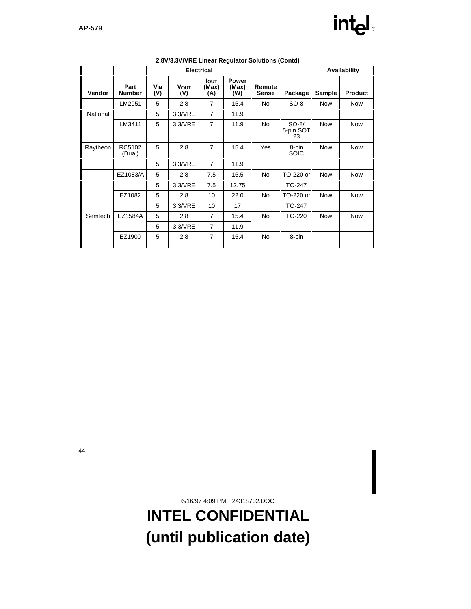|          |                       |                        |             | <b>Electrical</b>            |                       |                        |                            |            | Availability   |
|----------|-----------------------|------------------------|-------------|------------------------------|-----------------------|------------------------|----------------------------|------------|----------------|
| Vendor   | Part<br><b>Number</b> | V <sub>IN</sub><br>(V) | Vout<br>(V) | <b>I</b> OUT<br>(Max)<br>(A) | Power<br>(Max)<br>(W) | Remote<br><b>Sense</b> | Package                    | Sample     | <b>Product</b> |
|          | LM2951                | 5                      | 2.8         | $\overline{7}$               | 15.4                  | No.                    | $SO-8$                     | <b>Now</b> | <b>Now</b>     |
| National |                       | 5                      | 3.3/VRE     | $\overline{7}$               | 11.9                  |                        |                            |            |                |
|          | LM3411                | 5                      | 3.3/VRE     | $\overline{7}$               | 11.9                  | <b>No</b>              | $SO-8/$<br>5-pin SOT<br>23 | <b>Now</b> | <b>Now</b>     |
| Raytheon | RC5102<br>(Dual)      | 5                      | 2.8         | $\overline{7}$               | 15.4                  | Yes                    | 8-pin<br><b>SÓIC</b>       | <b>Now</b> | <b>Now</b>     |
|          |                       | 5                      | 3.3/VRE     | $\overline{7}$               | 11.9                  |                        |                            |            |                |
|          | EZ1083/A              | 5                      | 2.8         | 7.5                          | 16.5                  | No                     | TO-220 or                  | <b>Now</b> | <b>Now</b>     |
|          |                       | 5                      | 3.3/VRE     | 7.5                          | 12.75                 |                        | TO-247                     |            |                |
|          | EZ1082                | 5                      | 2.8         | 10                           | 22.0                  | No                     | TO-220 or                  | <b>Now</b> | <b>Now</b>     |
|          |                       | 5                      | 3.3/VRE     | 10                           | 17                    |                        | TO-247                     |            |                |
| Semtech  | EZ1584A               | 5                      | 2.8         | $\overline{7}$               | 15.4                  | <b>No</b>              | TO-220                     | <b>Now</b> | <b>Now</b>     |
|          |                       | 5                      | 3.3/VRE     | $\overline{7}$               | 11.9                  |                        |                            |            |                |
|          | EZ1900                | 5                      | 2.8         | $\overline{7}$               | 15.4                  | <b>No</b>              | 8-pin                      |            |                |

**2.8V/3.3V/VRE Linear Regulator Solutions (Contd)**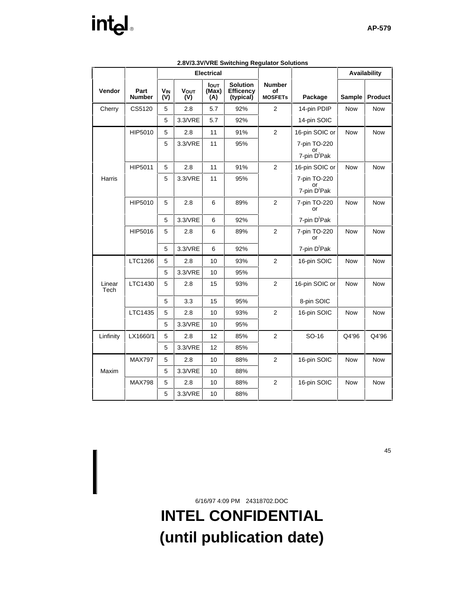|                |                       |                              |                    | <b>Electrical</b>                |                                                  |                                       |                                                |            | Availability |
|----------------|-----------------------|------------------------------|--------------------|----------------------------------|--------------------------------------------------|---------------------------------------|------------------------------------------------|------------|--------------|
| Vendor         | Part<br><b>Number</b> | <b>V<sub>IN</sub></b><br>(V) | <b>VOUT</b><br>(V) | I <sub>OUT</sub><br>(Max)<br>(A) | <b>Solution</b><br><b>Efficency</b><br>(typical) | <b>Number</b><br>of<br><b>MOSFETs</b> | Package                                        | Sample     | Product      |
| Cherry         | CS5120                | 5                            | 2.8                | 5.7                              | 92%                                              | 2                                     | 14-pin PDIP                                    | Now        | <b>Now</b>   |
|                |                       | 5                            | 3.3/VRE            | 5.7                              | 92%                                              |                                       | 14-pin SOIC                                    |            |              |
|                | HIP5010               | 5                            | 2.8                | 11                               | 91%                                              | $\overline{2}$                        | 16-pin SOIC or                                 | <b>Now</b> | <b>Now</b>   |
|                |                       | 5                            | 3.3/VRE            | 11                               | 95%                                              |                                       | 7-pin TO-220<br>Ωr<br>7-pin D <sup>2</sup> Pak |            |              |
|                | HIP5011               | 5                            | 2.8                | 11                               | 91%                                              | $\overline{2}$                        | 16-pin SOIC or                                 | Now        | <b>Now</b>   |
| Harris         |                       | 5                            | 3.3/VRE            | 11                               | 95%                                              |                                       | 7-pin TO-220<br>7-pin D <sup>2</sup> Pak       |            |              |
|                | HIP5010               | 5                            | 2.8                | 6                                | 89%                                              | $\overline{2}$                        | 7-pin TO-220<br>or                             | <b>Now</b> | <b>Now</b>   |
|                |                       | 5                            | 3.3/VRE            | 6                                | 92%                                              |                                       | 7-pin D <sup>2</sup> Pak                       |            |              |
|                | HIP5016               | 5                            | 2.8                | 6                                | 89%                                              | $\overline{2}$                        | 7-pin TO-220<br>or                             | <b>Now</b> | <b>Now</b>   |
|                |                       | 5                            | 3.3/VRE            | 6                                | 92%                                              |                                       | 7-pin D <sup>2</sup> Pak                       |            |              |
|                | LTC1266               | 5                            | 2.8                | 10                               | 93%                                              | $\overline{2}$                        | 16-pin SOIC                                    | <b>Now</b> | <b>Now</b>   |
|                |                       | 5                            | 3.3/VRE            | 10                               | 95%                                              |                                       |                                                |            |              |
| Linear<br>Tech | LTC1430               | 5                            | 2.8                | 15                               | 93%                                              | 2                                     | 16-pin SOIC or                                 | <b>Now</b> | <b>Now</b>   |
|                |                       | 5                            | 3.3                | 15                               | 95%                                              |                                       | 8-pin SOIC                                     |            |              |
|                | LTC1435               | 5                            | 2.8                | 10                               | 93%                                              | 2                                     | 16-pin SOIC                                    | <b>Now</b> | <b>Now</b>   |
|                |                       | 5                            | 3.3/VRE            | 10                               | 95%                                              |                                       |                                                |            |              |
| Linfinity      | LX1660/1              | 5                            | 2.8                | 12                               | 85%                                              | 2                                     | SO-16                                          | Q4'96      | Q4'96        |
|                |                       | 5                            | 3.3/VRE            | 12                               | 85%                                              |                                       |                                                |            |              |
|                | <b>MAX797</b>         | 5                            | 2.8                | 10                               | 88%                                              | $\overline{2}$                        | 16-pin SOIC                                    | Now        | <b>Now</b>   |
| Maxim          |                       | 5                            | 3.3/VRE            | 10                               | 88%                                              |                                       |                                                |            |              |
|                | <b>MAX798</b>         | 5                            | 2.8                | 10                               | 88%                                              | 2                                     | 16-pin SOIC                                    | <b>Now</b> | <b>Now</b>   |
|                |                       | 5                            | 3.3/VRE            | 10                               | 88%                                              |                                       |                                                |            |              |

### **2.8V/3.3V/VRE Switching Regulator Solutions**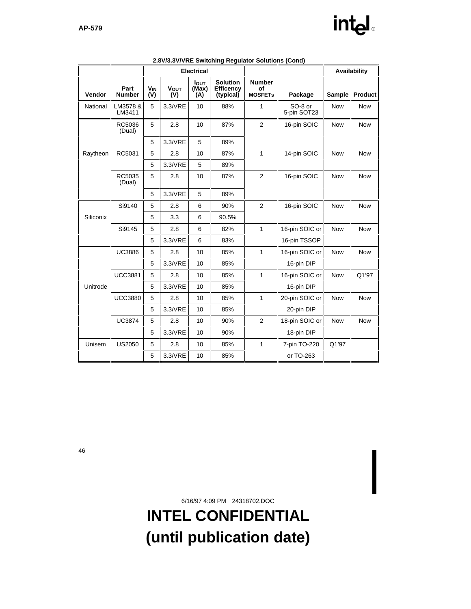|           |                       |                              |                    | <b>Electrical</b>                |                                                  |                                       |                        |            | Availability   |
|-----------|-----------------------|------------------------------|--------------------|----------------------------------|--------------------------------------------------|---------------------------------------|------------------------|------------|----------------|
| Vendor    | Part<br><b>Number</b> | <b>V<sub>IN</sub></b><br>(V) | <b>VOUT</b><br>(V) | $I_{\text{OUT}}$<br>(Max)<br>(A) | <b>Solution</b><br><b>Efficency</b><br>(typical) | <b>Number</b><br>οf<br><b>MOSFETS</b> | Package                | Sample     | <b>Product</b> |
| National  | LM3578 &<br>LM3411    | 5                            | 3.3/VRE            | 10                               | 88%                                              | 1                                     | SO-8 or<br>5-pin SOT23 | <b>Now</b> | <b>Now</b>     |
|           | RC5036<br>(Dual)      | 5                            | 2.8                | 10                               | 87%                                              | $\overline{2}$                        | 16-pin SOIC            | <b>Now</b> | <b>Now</b>     |
|           |                       | 5                            | 3.3/VRE            | 5                                | 89%                                              |                                       |                        |            |                |
| Raytheon  | RC5031                | 5                            | 2.8                | 10                               | 87%                                              | 1                                     | 14-pin SOIC            | <b>Now</b> | <b>Now</b>     |
|           |                       | 5                            | 3.3/VRE            | 5                                | 89%                                              |                                       |                        |            |                |
|           | RC5035<br>(Dual)      | 5                            | 2.8                | 10                               | 87%                                              | $\overline{2}$                        | 16-pin SOIC            | <b>Now</b> | <b>Now</b>     |
|           |                       | 5                            | 3.3/VRE            | 5                                | 89%                                              |                                       |                        |            |                |
|           | Si9140                | 5                            | 2.8                | 6                                | 90%                                              | $\overline{2}$                        | 16-pin SOIC            | <b>Now</b> | <b>Now</b>     |
| Siliconix |                       | 5                            | 3.3                | 6                                | 90.5%                                            |                                       |                        |            |                |
|           | Si9145                | 5                            | 2.8                | 6                                | 82%                                              | 1                                     | 16-pin SOIC or         | <b>Now</b> | <b>Now</b>     |
|           |                       | 5                            | 3.3/VRE            | 6                                | 83%                                              |                                       | 16-pin TSSOP           |            |                |
|           | <b>UC3886</b>         | 5                            | 2.8                | 10                               | 85%                                              | 1                                     | 16-pin SOIC or         | <b>Now</b> | <b>Now</b>     |
|           |                       | 5                            | 3.3/VRE            | 10                               | 85%                                              |                                       | 16-pin DIP             |            |                |
|           | <b>UCC3881</b>        | 5                            | 2.8                | 10                               | 85%                                              | 1                                     | 16-pin SOIC or         | <b>Now</b> | Q1'97          |
| Unitrode  |                       | 5                            | 3.3/VRE            | 10                               | 85%                                              |                                       | 16-pin DIP             |            |                |
|           | <b>UCC3880</b>        | 5                            | 2.8                | 10                               | 85%                                              | 1                                     | 20-pin SOIC or         | <b>Now</b> | <b>Now</b>     |
|           |                       | 5                            | 3.3/VRE            | 10                               | 85%                                              |                                       | 20-pin DIP             |            |                |
|           | <b>UC3874</b>         | 5                            | 2.8                | 10                               | 90%                                              | 2                                     | 18-pin SOIC or         | <b>Now</b> | <b>Now</b>     |
|           |                       | 5                            | 3.3/VRE            | 10                               | 90%                                              |                                       | 18-pin DIP             |            |                |
| Unisem    | <b>US2050</b>         | 5                            | 2.8                | 10                               | 85%                                              | 1                                     | 7-pin TO-220           | Q1'97      |                |
|           |                       | 5                            | 3.3/VRE            | 10                               | 85%                                              |                                       | or TO-263              |            |                |

**2.8V/3.3V/VRE Switching Regulator Solutions (Cond)**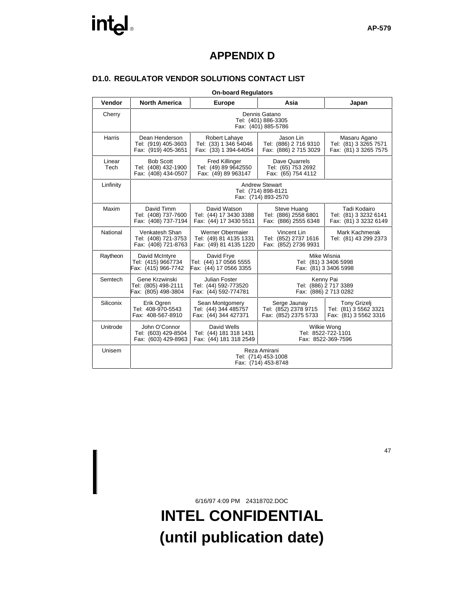### **APPENDIX D**

### **D1.0. REGULATOR VENDOR SOLUTIONS CONTACT LIST**

| <b>On-board Regulators</b> |                                                                                                                                                                                             |                                                                                                                                 |                                                              |                                                                       |  |
|----------------------------|---------------------------------------------------------------------------------------------------------------------------------------------------------------------------------------------|---------------------------------------------------------------------------------------------------------------------------------|--------------------------------------------------------------|-----------------------------------------------------------------------|--|
| Vendor                     | <b>North America</b>                                                                                                                                                                        | <b>Europe</b>                                                                                                                   | Asia                                                         | Japan                                                                 |  |
| Cherry                     |                                                                                                                                                                                             |                                                                                                                                 | Dennis Gatano<br>Tel: (401) 886-3305<br>Fax: (401) 885-5786  |                                                                       |  |
| Harris                     | Dean Henderson<br>Tel: (919) 405-3603<br>Fax: (919) 405-3651                                                                                                                                | Robert Lahaye<br>Tel: (33) 1 346 54046<br>Fax: (33) 1 394-64054                                                                 | Jason Lin<br>Tel: (886) 2 716 9310<br>Fax: (886) 2 715 3029  | Masaru Agano<br>Tel: (81) 3 3265 7571<br>Fax: (81) 3 3265 7575        |  |
| Linear<br>Tech             | <b>Bob Scott</b><br>Tel: (408) 432-1900<br>Fax: (408) 434-0507                                                                                                                              | Fred Killinger<br>Tel: (49) 89 9642550<br>Fax: (49) 89 963147                                                                   | Dave Quarrels<br>Tel: (65) 753 2692<br>Fax: (65) 754 4112    |                                                                       |  |
| Linfinity                  | <b>Andrew Stewart</b><br>Tel: (714) 898-8121<br>Fax: (714) 893-2570                                                                                                                         |                                                                                                                                 |                                                              |                                                                       |  |
| Maxim                      | David Timm<br>Tel: (408) 737-7600<br>Fax: (408) 737-7194                                                                                                                                    | David Watson<br>Tel: (44) 17 3430 3388<br>Fax: (44) 17 3430 5511                                                                | Steve Huang<br>Tel: (886) 2558 6801<br>Fax: (886) 2555 6348  | Tadi Kodairo<br>Tel: (81) 3 3232 6141<br>Fax: (81) 3 3232 6149        |  |
| National                   | Venkatesh Shan<br>Tel: (408) 721-3753<br>Fax: (408) 721-8763                                                                                                                                | Werner Obermaier<br>Tel: (49) 81 4135 1331<br>Fax: (49) 81 4135 1220                                                            | Vincent Lin<br>Tel: (852) 2737 1616<br>Fax: (852) 2736 9931  | Mark Kachmerak<br>Tel: (81) 43 299 2373                               |  |
| Raytheon                   | David McIntyre<br>Tel: (415) 9667734<br>Fax: (415) 966-7742                                                                                                                                 | Mike Wisnia<br>David Frye<br>Tel: (44) 17 0566 5555<br>Tel: (81) 3 3406 5998<br>Fax: (44) 17 0566 3355<br>Fax: (81) 3 3406 5998 |                                                              |                                                                       |  |
| Semtech                    | Gene Krzwinski<br>Julian Foster<br>Kenny Pai<br>Tel: (886) 2717 3389<br>Tel: (805) 498-2111<br>Tel: (44) 592-773520<br>Fax: (805) 498-3804<br>Fax: (44) 592-774781<br>Fax: (886) 2 713 0282 |                                                                                                                                 |                                                              |                                                                       |  |
| Siliconix                  | Erik Ogren<br>Tel: 408-970-5543<br>Fax: 408-567-8910                                                                                                                                        | Sean Montgomery<br>Tel: (44) 344 485757<br>Fax: (44) 344 427371                                                                 | Serge Jaunay<br>Tel: (852) 2378 9715<br>Fax: (852) 2375 5733 | <b>Tony Grizeli</b><br>Tel: (81) 3 5562 3321<br>Fax: (81) 3 5562 3316 |  |
| Unitrode                   | John O'Connor<br>David Wells<br>Wilkie Wong<br>Tel: (603) 429-8504<br>Tel: 8522-722-1101<br>Tel: (44) 181 318 1431<br>Fax: (603) 429-8963<br>Fax: 8522-369-7596<br>Fax: (44) 181 318 2549   |                                                                                                                                 |                                                              |                                                                       |  |
| Unisem                     | Reza Amirani<br>Tel: (714) 453-1008<br>Fax: (714) 453-8748                                                                                                                                  |                                                                                                                                 |                                                              |                                                                       |  |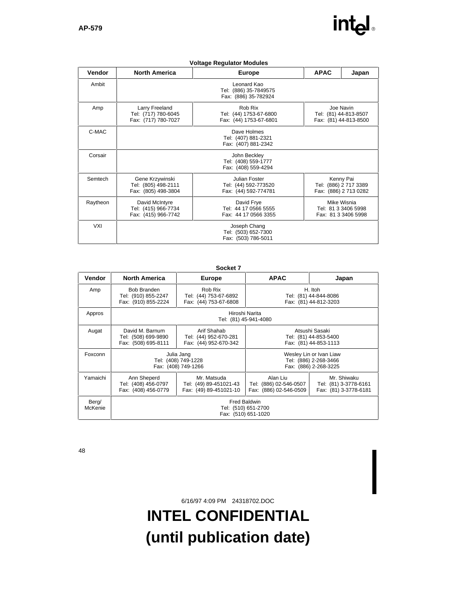| <b>Voltage Regulator Modules</b> |                                                                                                                                                                                            |                                                              |             |                                                             |  |  |
|----------------------------------|--------------------------------------------------------------------------------------------------------------------------------------------------------------------------------------------|--------------------------------------------------------------|-------------|-------------------------------------------------------------|--|--|
| Vendor                           | <b>North America</b>                                                                                                                                                                       | <b>Europe</b>                                                | <b>APAC</b> | Japan                                                       |  |  |
| Ambit                            |                                                                                                                                                                                            | Leonard Kao<br>Tel: (886) 35-7849575<br>Fax: (886) 35-782924 |             |                                                             |  |  |
| Amp                              | Rob Rix<br>Larry Freeland<br>Joe Navin<br>Tel: (717) 780-6045<br>Tel: (44) 1753-67-6800<br>Tel: (81) 44-813-8507<br>Fax: (717) 780-7027<br>Fax: (81) 44-813-8500<br>Fax: (44) 1753-67-6801 |                                                              |             |                                                             |  |  |
| C-MAC                            | Dave Holmes<br>Tel: (407) 881-2321<br>Fax: (407) 881-2342                                                                                                                                  |                                                              |             |                                                             |  |  |
| Corsair                          | John Beckley<br>Tel: (408) 559-1777<br>Fax: (408) 559-4294                                                                                                                                 |                                                              |             |                                                             |  |  |
| Semtech                          | Julian Foster<br>Gene Krzywinski<br>Tel: (805) 498-2111<br>Tel: (44) 592-773520<br>Fax: (805) 498-3804<br>Fax: (44) 592-774781                                                             |                                                              |             | Kenny Pai<br>Tel: (886) 2 717 3389<br>Fax: (886) 2 713 0282 |  |  |
| Raytheon                         | David McIntyre<br>David Frye<br>Mike Wisnia<br>Tel: 44 17 0566 5555<br>Tel: (415) 966-7734<br>Tel: 81 3 3406 5998<br>Fax: (415) 966-7742<br>Fax: 44 17 0566 3355<br>Fax: 81 3 3406 5998    |                                                              |             |                                                             |  |  |
| <b>VXI</b>                       | Joseph Chang<br>Tel: (503) 652-7300<br>Fax: (503) 786-5011                                                                                                                                 |                                                              |             |                                                             |  |  |

**Socket 7**

| Vendor           | <b>North America</b>                                                                                                                                                                               | <b>Europe</b>                                                   | <b>APAC</b>                                                  | Japan                                                                     |
|------------------|----------------------------------------------------------------------------------------------------------------------------------------------------------------------------------------------------|-----------------------------------------------------------------|--------------------------------------------------------------|---------------------------------------------------------------------------|
| Amp              | Bob Branden<br>Tel: (910) 855-2247<br>Fax: (910) 855-2224                                                                                                                                          | Rob Rix<br>Tel: (44) 753-67-6892<br>Fax: (44) 753-67-6808       | H. Itoh<br>Tel: (81) 44-844-8086<br>Fax: (81) 44-812-3203    |                                                                           |
| Appros           | Hiroshi Narita<br>Tel: (81) 45-941-4080                                                                                                                                                            |                                                                 |                                                              |                                                                           |
| Augat            | David M. Barnum<br>Arif Shahab<br>Atsushi Sasaki<br>Tel: (508) 699-9890<br>Tel: (44) 952-670-281<br>Tel: (81) 44-853-5400<br>Fax: (508) 695-8111<br>Fax: (44) 952-670-342<br>Fax: (81) 44-853-1113 |                                                                 |                                                              |                                                                           |
| Foxconn          | Julia Jang<br>Tel: (408) 749-1228<br>Fax: (408) 749-1266                                                                                                                                           |                                                                 |                                                              | Wesley Lin or Ivan Liaw<br>Tel: (886) 2-268-3466<br>Fax: (886) 2-268-3225 |
| Yamaichi         | Ann Sheperd<br>Tel: (408) 456-0797<br>Fax: (408) 456-0779                                                                                                                                          | Mr. Matsuda<br>Tel: (49) 89-451021-43<br>Fax: (49) 89-451021-10 | Alan Liu<br>Tel: (886) 02-546-0507<br>Fax: (886) 02-546-0509 | Mr. Shiwaku<br>Tel: (81) 3-3778-6161<br>Fax: (81) 3-3778-6181             |
| Berg/<br>McKenie | <b>Fred Baldwin</b><br>Tel: (510) 651-2700<br>Fax: (510) 651-1020                                                                                                                                  |                                                                 |                                                              |                                                                           |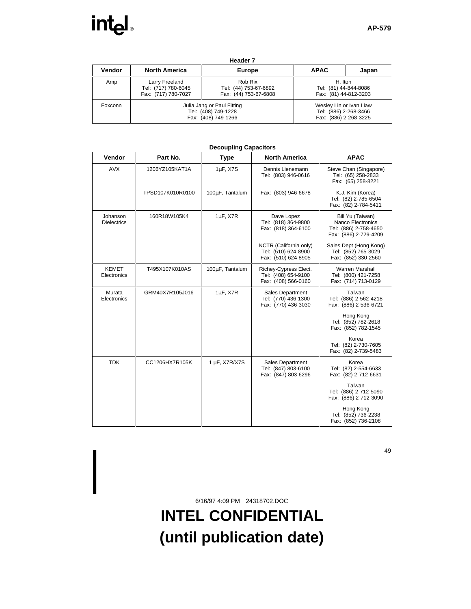

### **Header 7**

| Vendor  | <b>North America</b>                                                     | Europe                                                    | <b>APAC</b>                                                               | Japan |
|---------|--------------------------------------------------------------------------|-----------------------------------------------------------|---------------------------------------------------------------------------|-------|
| Amp     | Larry Freeland<br>Tel: (717) 780-6045<br>Fax: (717) 780-7027             | Rob Rix<br>Tel: (44) 753-67-6892<br>Fax: (44) 753-67-6808 | H. Itoh<br>Tel: (81) 44-844-8086<br>Fax: (81) 44-812-3203                 |       |
| Foxconn | Julia Jang or Paul Fitting<br>Tel: (408) 749-1228<br>Fax: (408) 749-1266 |                                                           | Wesley Lin or Ivan Liaw<br>Tel: (886) 2-268-3466<br>Fax: (886) 2-268-3225 |       |

### **Decoupling Capacitors**

| Vendor                         | Part No.         | <b>Type</b>     | <b>North America</b>                                                 | <b>APAC</b>                                                                             |
|--------------------------------|------------------|-----------------|----------------------------------------------------------------------|-----------------------------------------------------------------------------------------|
| <b>AVX</b>                     | 1206YZ105KAT1A   | $1\mu$ F, X7S   | Dennis Lienemann<br>Tel: (803) 946-0616                              | Steve Chan (Singapore)<br>Tel: (65) 258-2833<br>Fax: (65) 258-8221                      |
|                                | TPSD107K010R0100 | 100µF, Tantalum | Fax: (803) 946-6678                                                  | K.J. Kim (Korea)<br>Tel: (82) 2-785-6504<br>Fax: (82) 2-784-5411                        |
| Johanson<br><b>Dielectrics</b> | 160R18W105K4     | $1\mu$ F, X7R   | Dave Lopez<br>Tel: (818) 364-9800<br>Fax: (818) 364-6100             | Bill Yu (Taiwan)<br>Nanco Electronics<br>Tel: (886) 2-758-4650<br>Fax: (886) 2-729-4209 |
|                                |                  |                 | NCTR (California only)<br>Tel: (510) 624-8900<br>Fax: (510) 624-8905 | Sales Dept (Hong Kong)<br>Tel: (852) 765-3029<br>Fax: (852) 330-2560                    |
| <b>KEMET</b><br>Electronics    | T495X107K010AS   | 100µF, Tantalum | Richey-Cypress Elect.<br>Tel: (408) 654-9100<br>Fax: (408) 566-0160  | <b>Warren Marshall</b><br>Tel: (800) 421-7258<br>Fax: (714) 713-0129                    |
| Murata<br>Electronics          | GRM40X7R105J016  | $1\mu$ F, X7R   | Sales Department<br>Tel: (770) 436-1300<br>Fax: (770) 436-3030       | Taiwan<br>Tel: (886) 2-562-4218<br>Fax: (886) 2-536-6721<br>Hong Kong                   |
|                                |                  |                 |                                                                      | Tel: (852) 782-2618<br>Fax: (852) 782-1545                                              |
|                                |                  |                 |                                                                      | Korea<br>Tel: (82) 2-730-7605<br>Fax: (82) 2-739-5483                                   |
| <b>TDK</b>                     | CC1206HX7R105K   | 1 µF, X7R/X7S   | Sales Department<br>Tel: (847) 803-6100<br>Fax: (847) 803-6296       | Korea<br>Tel: (82) 2-554-6633<br>Fax: (82) 2-712-6631                                   |
|                                |                  |                 |                                                                      | Taiwan<br>Tel: (886) 2-712-5090<br>Fax: (886) 2-712-3090                                |
|                                |                  |                 |                                                                      | Hong Kong<br>Tel: (852) 736-2238<br>Fax: (852) 736-2108                                 |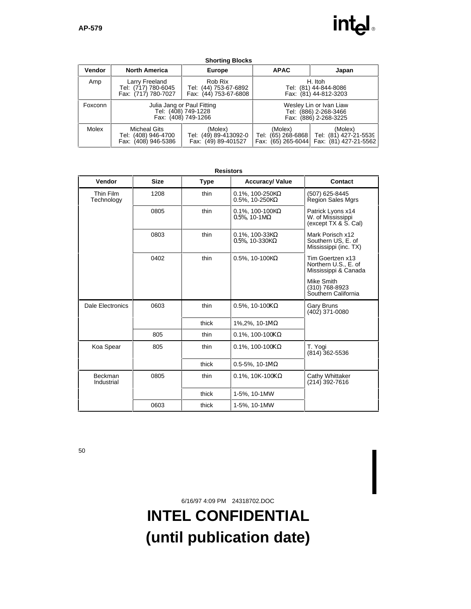### **Shorting Blocks**

| Vendor  | <b>North America</b>                                                     | Europe                                                    | <b>APAC</b>                                         | Japan                                                                     |
|---------|--------------------------------------------------------------------------|-----------------------------------------------------------|-----------------------------------------------------|---------------------------------------------------------------------------|
| Amp     | Larry Freeland<br>Tel: (717) 780-6045<br>Fax: (717) 780-7027             | Rob Rix<br>Tel: (44) 753-67-6892<br>Fax: (44) 753-67-6808 |                                                     | H. Itoh<br>Tel: (81) 44-844-8086<br>Fax: (81) 44-812-3203                 |
| Foxconn | Julia Jang or Paul Fitting<br>Tel: (408) 749-1228<br>Fax: (408) 749-1266 |                                                           |                                                     | Wesley Lin or Ivan Liaw<br>Tel: (886) 2-268-3466<br>Fax: (886) 2-268-3225 |
| Molex   | <b>Micheal Gits</b><br>Tel: (408) 946-4700<br>Fax: (408) 946-5386        | (Molex)<br>Tel: (49) 89-413092-0<br>Fax: (49) 89-401527   | (Molex)<br>Tel: (65) 268-6868<br>Fax: (65) 265-6044 | (Molex)<br>Tel: (81) 427-21-5539<br>Fax: (81) 427-21-5562                 |

### **Resistors**

| Vendor                       | <b>Size</b> | <b>Type</b> | <b>Accuracy/ Value</b>                                  | Contact                                                          |
|------------------------------|-------------|-------------|---------------------------------------------------------|------------------------------------------------------------------|
| Thin Film<br>Technology      | 1208        | thin        | $0.1\%$ , 100-250K $\Omega$<br>$0.5\%$ , 10-250KQ       | (507) 625-8445<br><b>Region Sales Mgrs</b>                       |
|                              | 0805        | thin        | $0.1\%$ , 100-100K $\Omega$<br>$0.5\%$ , 10-1M $\Omega$ | Patrick Lyons x14<br>W. of Mississippi<br>(except TX & S. Cal)   |
|                              | 0803        | thin        | $0.1\%$ , 100-33KQ<br>$0.5\%$ , 10-330KQ                | Mark Porisch x12<br>Southern US, E. of<br>Mississippi (inc. TX)  |
|                              | 0402        | thin        | $0.5\%$ , 10-100ΚΩ                                      | Tim Goertzen x13<br>Northern U.S., E. of<br>Mississippi & Canada |
|                              |             |             |                                                         | Mike Smith<br>(310) 768-8923<br>Southern California              |
| Dale Electronics             | 0603        | thin        | $0.5%$ , 10-100ΚΩ                                       | Gary Bruns<br>(402) 371-0080                                     |
|                              |             | thick       | 1%, 2%, 10-1 M $\Omega$                                 |                                                                  |
|                              | 805         | thin        | $0.1\%$ . 100-100ΚΩ                                     |                                                                  |
| Koa Spear                    | 805         | thin        | $0.1\%$ , 100-100ΚΩ                                     | T. Yogi<br>(814) 362-5536                                        |
|                              |             | thick       | $0.5 - 5\%$ , 10-1M $\Omega$                            |                                                                  |
| <b>Beckman</b><br>Industrial | 0805        | thin        | $0.1\%$ , 10Κ-100ΚΩ                                     | Cathy Whittaker<br>$(214)$ 392-7616                              |
|                              |             | thick       | 1-5%, 10-1MW                                            |                                                                  |
|                              | 0603        | thick       | 1-5%, 10-1MW                                            |                                                                  |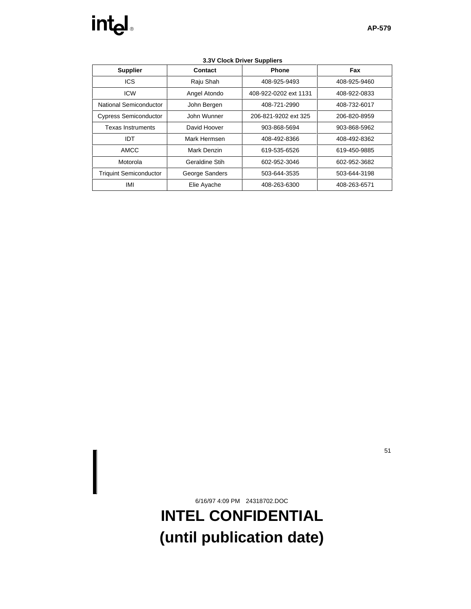$\overline{\phantom{a}}$ 

|  | 3.3V Clock Driver Suppliers |  |
|--|-----------------------------|--|
|  |                             |  |

| <b>Supplier</b>               | Contact        | <b>Phone</b>          | Fax          |
|-------------------------------|----------------|-----------------------|--------------|
| <b>ICS</b>                    | Raju Shah      | 408-925-9493          | 408-925-9460 |
| <b>ICW</b>                    | Angel Atondo   | 408-922-0202 ext 1131 | 408-922-0833 |
| National Semiconductor        | John Bergen    | 408-721-2990          | 408-732-6017 |
| <b>Cypress Semiconductor</b>  | John Wunner    | 206-821-9202 ext 325  | 206-820-8959 |
| <b>Texas Instruments</b>      | David Hoover   | 903-868-5694          | 903-868-5962 |
| IDT                           | Mark Hermsen   | 408-492-8366          | 408-492-8362 |
| <b>AMCC</b>                   | Mark Denzin    | 619-535-6526          | 619-450-9885 |
| Motorola                      | Geraldine Stih | 602-952-3046          | 602-952-3682 |
| <b>Triquint Semiconductor</b> | George Sanders | 503-644-3535          | 503-644-3198 |
| IMI                           | Elie Ayache    | 408-263-6300          | 408-263-6571 |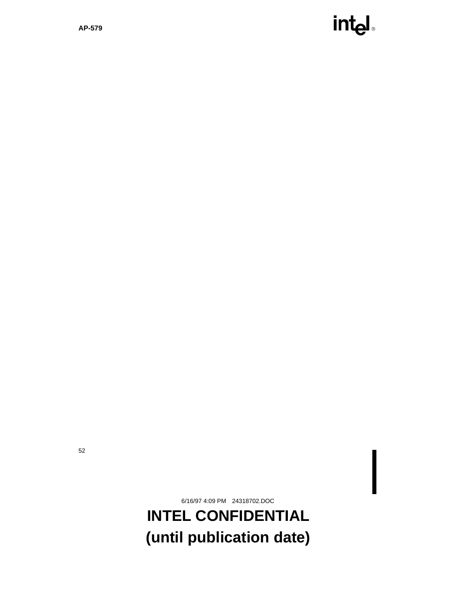I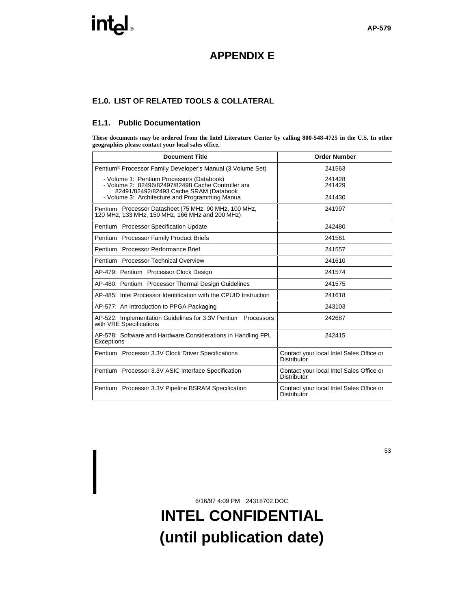### **APPENDIX E**

### **E1.0. LIST OF RELATED TOOLS & COLLATERAL**

### **E1.1. Public Documentation**

**These documents may be ordered from the Intel Literature Center by calling 800-548-4725 in the U.S. In other geographies please contact your local sales office.**

| <b>Document Title</b>                                                                                                                                                                        | <b>Order Number</b>                                            |
|----------------------------------------------------------------------------------------------------------------------------------------------------------------------------------------------|----------------------------------------------------------------|
| Pentium <sup>®</sup> Processor Family Developer's Manual (3 Volume Set)                                                                                                                      | 241563                                                         |
| - Volume 1: Pentium Processors (Databook)<br>- Volume 2: 82496/82497/82498 Cache Controller and<br>82491/82492/82493 Cache SRAM (Databook)<br>- Volume 3: Architecture and Programming Manua | 241428<br>241429<br>241430                                     |
|                                                                                                                                                                                              |                                                                |
| Pentium <sup>®</sup> Processor Datasheet (75 MHz, 90 MHz, 100 MHz,<br>120 MHz, 133 MHz, 150 MHz, 166 MHz and 200 MHz)                                                                        | 241997                                                         |
| Pentium <sup>®</sup> Processor Specification Update                                                                                                                                          | 242480                                                         |
| Pentium <sup>®</sup> Processor Family Product Briefs                                                                                                                                         | 241561                                                         |
| Pentium <sup>®</sup> Processor Performance Brief                                                                                                                                             | 241557                                                         |
| Pentium <sup>®</sup> Processor Technical Overview                                                                                                                                            | 241610                                                         |
| AP-479: Pentium® Processor Clock Design                                                                                                                                                      | 241574                                                         |
| AP-480: Pentium <sup>®</sup> Processor Thermal Design Guidelines                                                                                                                             | 241575                                                         |
| AP-485: Intel Processor Identification with the CPUID Instruction                                                                                                                            | 241618                                                         |
| AP-577: An Introduction to PPGA Packaging                                                                                                                                                    | 243103                                                         |
| AP-522: Implementation Guidelines for 3.3V Pentiun® Processors<br>with VRE Specifications                                                                                                    | 242687                                                         |
| AP-578: Software and Hardware Considerations in Handling FPL<br>Exceptions                                                                                                                   | 242415                                                         |
| Pentium <sup>®</sup> Processor 3.3V Clock Driver Specifications                                                                                                                              | Contact your local Intel Sales Office or<br><b>Distributor</b> |
| Pentium <sup>®</sup> Processor 3.3V ASIC Interface Specification                                                                                                                             | Contact your local Intel Sales Office or<br><b>Distributor</b> |
| Pentium <sup>®</sup> Processor 3.3V Pipeline BSRAM Specification                                                                                                                             | Contact your local Intel Sales Office or<br><b>Distributor</b> |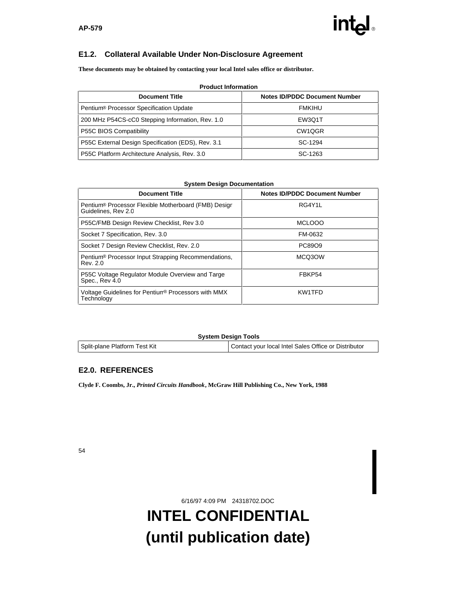### **E1.2. Collateral Available Under Non-Disclosure Agreement**

**These documents may be obtained by contacting your local Intel sales office or distributor.**

### **Product Information**

| <b>Document Title</b>                               | <b>Notes ID/PDDC Document Number</b> |
|-----------------------------------------------------|--------------------------------------|
| Pentium <sup>®</sup> Processor Specification Update | <b>FMKIHU</b>                        |
| 200 MHz P54CS-cC0 Stepping Information, Rev. 1.0    | EW3Q1T                               |
| P55C BIOS Compatibility                             | CW <sub>1</sub> QGR                  |
| P55C External Design Specification (EDS), Rev. 3.1  | SC-1294                              |
| P55C Platform Architecture Analysis, Rev. 3.0       | SC-1263                              |

### **System Design Documentation Document Title**  $\qquad$  **Notes ID/PDDC Document Number** Pentium® Processor Flexible Motherboard (FMB) Design Guidelines, Rev 2.0 RG4Y1L P55C/FMB Design Review Checklist, Rev 3.0 <br>
MCLOOO Socket 7 Specification, Rev. 3.0 FM-0632 Socket 7 Design Review Checklist, Rev. 2.0 **PC89O9** PC89O9 Pentium® Processor Input Strapping Recommendations, Rev. 2.0 MCQ3OW P55C Voltage Regulator Module Overview and Target Spec., Rev 4.0 FBKP54 Voltage Guidelines for Pentium® Processors with MMX<sup>™</sup> Technology KW1TFD

| <b>System Design Tools</b>    |                                                      |  |  |
|-------------------------------|------------------------------------------------------|--|--|
| Split-plane Platform Test Kit | Contact your local Intel Sales Office or Distributor |  |  |

### **E2.0. REFERENCES**

**Clyde F. Coombs, Jr.,** *Printed Circuits Handbook***, McGraw Hill Publishing Co., New York, 1988**